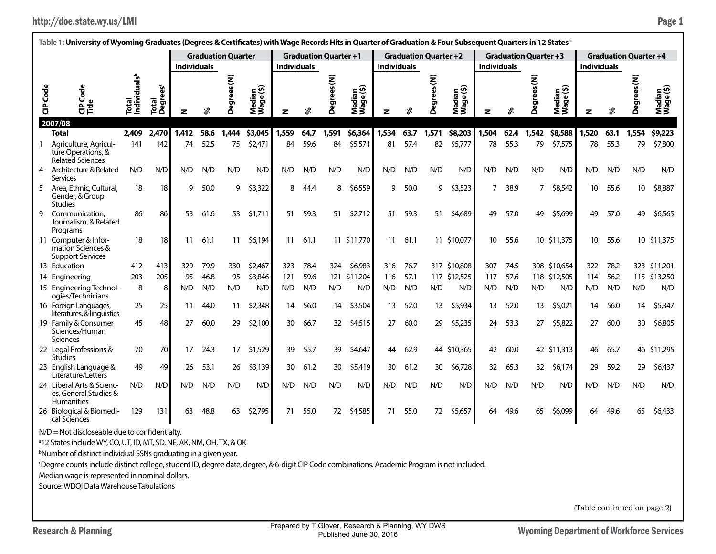| http://doe.state.wy.us/LMI | Page 1 |
|----------------------------|--------|
|----------------------------|--------|

|                 | Table 1: University of Wyoming Graduates (Degrees & Certificates) with Wage Records Hits in Quarter of Graduation & Four Subsequent Quarters in 12 Statesª |                                   |                               |                    |      |                           |                     |                    |      |                              |                     |                    |      |                              |                     |                    |      |                              |                     |                    |      |                              |                     |
|-----------------|------------------------------------------------------------------------------------------------------------------------------------------------------------|-----------------------------------|-------------------------------|--------------------|------|---------------------------|---------------------|--------------------|------|------------------------------|---------------------|--------------------|------|------------------------------|---------------------|--------------------|------|------------------------------|---------------------|--------------------|------|------------------------------|---------------------|
|                 |                                                                                                                                                            |                                   |                               |                    |      | <b>Graduation Quarter</b> |                     |                    |      | <b>Graduation Quarter +1</b> |                     |                    |      | <b>Graduation Quarter +2</b> |                     |                    |      | <b>Graduation Quarter +3</b> |                     |                    |      | <b>Graduation Quarter +4</b> |                     |
|                 |                                                                                                                                                            |                                   |                               | <b>Individuals</b> |      |                           |                     | <b>Individuals</b> |      |                              |                     | <b>Individuals</b> |      |                              |                     | <b>Individuals</b> |      |                              |                     | <b>Individuals</b> |      |                              |                     |
| <b>CIP</b> Code | Code<br>양                                                                                                                                                  | Total<br>Individuals <sup>b</sup> | Total<br>Degrees <sup>c</sup> | z                  | వి   | Degrees (N)               | Median<br>Wage (\$) | z                  | వి   | ξ<br>\$<br>Degi              | Median<br>Wage (\$) | z                  | శి   | ees (N)<br>Degr              | Median<br>Wage (\$) | z                  | چ    | ξ<br>rees<br>Degi            | Median<br>Wage (\$) | z                  | چ    | ξ<br>Degi                    | Median<br>Wage (\$) |
|                 | 2007/08                                                                                                                                                    |                                   |                               |                    |      |                           |                     |                    |      |                              |                     |                    |      |                              |                     |                    |      |                              |                     |                    |      |                              |                     |
|                 | <b>Total</b>                                                                                                                                               | 2,409                             | 2,470                         | 1,412              | 58.6 | 1,444                     | \$3,045             | 1,559              | 64.7 | 1,591                        | \$6,364             | 1,534              | 63.7 | 1,571                        | \$8,203             | 1,504              | 62.4 | 1,542                        | \$8,588             | 1,520              | 63.1 | 1,554                        | \$9,223             |
|                 | Agriculture, Agricul-<br>ture Operations, &<br><b>Related Sciences</b>                                                                                     | 141                               | 142                           | 74                 | 52.5 | 75                        | \$2,471             | 84                 | 59.6 | 84                           | \$5,571             | 81                 | 57.4 | 82                           | \$5,777             | 78                 | 55.3 | 79                           | \$7,575             | 78                 | 55.3 | 79                           | \$7,800             |
| 4               | Architecture & Related<br>Services                                                                                                                         | N/D                               | N/D                           | N/D                | N/D  | N/D                       | N/D                 | N/D                | N/D  | N/D                          | N/D                 | N/D                | N/D  | N/D                          | N/D                 | N/D                | N/D  | N/D                          | N/D                 | N/D                | N/D  | N/D                          | N/D                 |
| 5               | Area, Ethnic, Cultural,<br>Gender, & Group<br><b>Studies</b>                                                                                               | 18                                | 18                            | q                  | 50.0 | 9                         | \$3,322             | 8                  | 44.4 | 8                            | \$6,559             | 9                  | 50.0 | 9                            | \$3,523             | 7                  | 38.9 | 7                            | \$8,542             | 10                 | 55.6 | 10                           | \$8,887             |
| 9               | Communication.<br>Journalism, & Related<br>Programs                                                                                                        | 86                                | 86                            | 53                 | 61.6 | 53                        | \$1,711             | 51                 | 59.3 | 51                           | \$2,712             | 51                 | 59.3 | 51                           | \$4,689             | 49                 | 57.0 | 49                           | \$5,699             | 49                 | 57.0 | 49                           | \$6,565             |
|                 | 11 Computer & Infor-<br>mation Sciences &<br><b>Support Services</b>                                                                                       | 18                                | 18                            | 11                 | 61.1 | 11                        | \$6,194             | 11                 | 61.1 |                              | 11 \$11,770         | 11                 | 61.1 |                              | 11 \$10,077         | 10                 | 55.6 |                              | 10 \$11,375         | 10                 | 55.6 |                              | 10 \$11,375         |
|                 | 13 Education                                                                                                                                               | 412                               | 413                           | 329                | 79.9 | 330                       | \$2,467             | 323                | 78.4 | 324                          | \$6,983             | 316                | 76.7 |                              | 317 \$10,808        | 307                | 74.5 |                              | 308 \$10,654        | 322                | 78.2 |                              | 323 \$11,201        |
|                 | 14 Engineering                                                                                                                                             | 203                               | 205                           | 95                 | 46.8 | 95                        | \$3,846             | 121                | 59.6 |                              | 121 \$11,204        | 116                | 57.1 | 117                          | \$12,525            | 117                | 57.6 |                              | 118 \$12,505        | 114                | 56.2 |                              | 115 \$13,250        |
|                 | 15 Engineering Technol-<br>ogies/Technicians                                                                                                               | 8                                 | 8                             | N/D                | N/D  | N/D                       | N/D                 | N/D                | N/D  | N/D                          | N/D                 | N/D                | N/D  | N/D                          | N/D                 | N/D                | N/D  | N/D                          | N/D                 | N/D                | N/D  | N/D                          | N/D                 |
|                 | 16 Foreign Languages,<br>literatures, & linguistics                                                                                                        | 25                                | 25                            | 11                 | 44.0 | 11                        | \$2,348             | 14                 | 56.0 | 14                           | \$3,504             | 13                 | 52.0 | 13                           | \$5,934             | 13                 | 52.0 | 13                           | \$5,021             | 14                 | 56.0 | 14                           | \$5,347             |
|                 | 19 Family & Consumer<br>Sciences/Human<br><b>Sciences</b>                                                                                                  | 45                                | 48                            | 27                 | 60.0 | 29                        | \$2,100             | 30                 | 66.7 | 32                           | \$4,515             | 27                 | 60.0 | 29                           | \$5,235             | 24                 | 53.3 | 27                           | \$5,822             | 27                 | 60.0 | 30                           | \$6,805             |
|                 | 22 Legal Professions &<br><b>Studies</b>                                                                                                                   | 70                                | 70                            | 17                 | 24.3 | 17                        | \$1,529             | 39                 | 55.7 | 39                           | \$4,647             | 44                 | 62.9 |                              | 44 \$10,365         | 42                 | 60.0 |                              | 42 \$11,313         | 46                 | 65.7 |                              | 46 \$11,295         |
|                 | 23 English Language &<br>Literature/Letters                                                                                                                | 49                                | 49                            | 26                 | 53.1 | 26                        | \$3,139             | 30                 | 61.2 | 30                           | \$5,419             | 30                 | 61.2 | 30                           | \$6,728             | 32                 | 65.3 | 32                           | \$6,174             | 29                 | 59.2 | 29                           | \$6,437             |
|                 | 24 Liberal Arts & Scienc-<br>es. General Studies &<br><b>Humanities</b>                                                                                    | N/D                               | N/D                           | N/D                | N/D  | N/D                       | N/D                 | N/D                | N/D  | N/D                          | N/D                 | N/D                | N/D  | N/D                          | N/D                 | N/D                | N/D  | N/D                          | N/D                 | N/D                | N/D  | N/D                          | N/D                 |
|                 | 26 Biological & Biomedi-<br>cal Sciences                                                                                                                   | 129                               | 131                           | 63                 | 48.8 | 63                        | \$2,795             | 71                 | 55.0 | 72                           | \$4,585             | 71                 | 55.0 | 72                           | \$5,657             | 64                 | 49.6 | 65                           | \$6,099             | 64                 | 49.6 | 65                           | \$6,433             |
|                 | $N/D = Not$ discloseable due to confidentialty.                                                                                                            |                                   |                               |                    |      |                           |                     |                    |      |                              |                     |                    |      |                              |                     |                    |      |                              |                     |                    |      |                              |                     |

a 12 States include WY, CO, UT, ID, MT, SD, NE, AK, NM, OH, TX, & OK

**bNumber of distinct individual SSNs graduating in a given year.** 

c Degree counts include distinct college, student ID, degree date, degree, & 6-digit CIP Code combinations. Academic Program is not included.

Median wage is represented in nominal dollars.

Source: WDQI Data Warehouse Tabulations

(Table continued on page 2)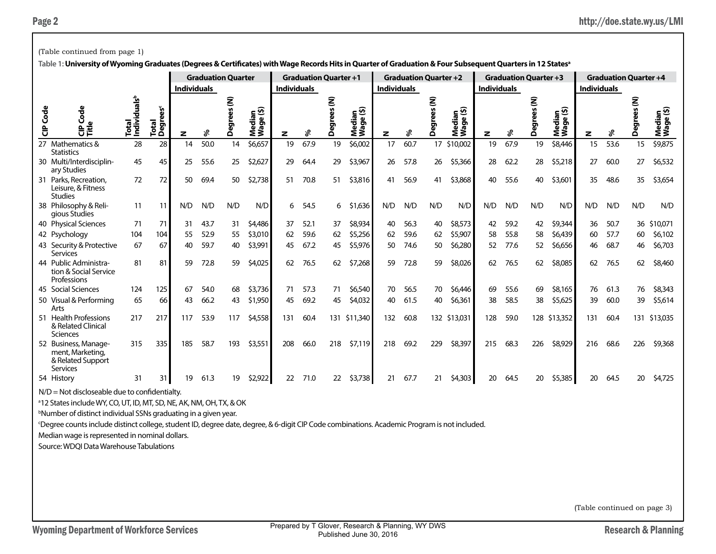|            | (Table continued from page 1)                                                                                                                                          |                                   |                               |                    |                           |                 |                     |                    |                              |          |                                        |                    |      |                              |                     |                    |                              |                     |                     |                    |      |                              |                           |
|------------|------------------------------------------------------------------------------------------------------------------------------------------------------------------------|-----------------------------------|-------------------------------|--------------------|---------------------------|-----------------|---------------------|--------------------|------------------------------|----------|----------------------------------------|--------------------|------|------------------------------|---------------------|--------------------|------------------------------|---------------------|---------------------|--------------------|------|------------------------------|---------------------------|
|            | Table 1: University of Wyoming Graduates (Degrees & Certificates) with Wage Records Hits in Quarter of Graduation & Four Subsequent Quarters in 12 States <sup>a</sup> |                                   |                               |                    |                           |                 |                     |                    |                              |          |                                        |                    |      |                              |                     |                    |                              |                     |                     |                    |      |                              |                           |
|            |                                                                                                                                                                        |                                   |                               |                    | <b>Graduation Quarter</b> |                 |                     |                    | <b>Graduation Quarter +1</b> |          |                                        |                    |      | <b>Graduation Quarter +2</b> |                     |                    | <b>Graduation Quarter +3</b> |                     |                     |                    |      | <b>Graduation Quarter +4</b> |                           |
|            |                                                                                                                                                                        |                                   |                               | <b>Individuals</b> |                           |                 |                     | <b>Individuals</b> |                              |          |                                        | <b>Individuals</b> |      |                              |                     | <b>Individuals</b> |                              |                     |                     | <b>Individuals</b> |      |                              |                           |
| Code<br>ទិ | $\frac{e}{\sigma}$<br>Ū<br>ω<br>응う                                                                                                                                     | Total<br>Individuals <sup>b</sup> | Total<br>Degrees <sup>c</sup> | z                  | వి                        | ξ<br>å<br>Degre | Median<br>Wage (\$) | z                  | శి                           | ξ<br>Deg | ledian<br>/age (\$)<br>Media<br>Wage ( | z                  | ళి   | es (N)<br>Degre              | Median<br>Wage (\$) | z                  | ళి                           | ξ<br><b>Degrees</b> | Median<br>Wage (\$) | z                  | శి   | ξ<br>Deg<br>D                | edian<br>age (\$)<br>ร็≶ิ |
|            | 27 Mathematics &<br><b>Statistics</b>                                                                                                                                  | 28                                | 28                            | 14                 | 50.0                      | 14              | \$6,657             | 19                 | 67.9                         | 19       | \$6,002                                | 17                 | 60.7 | 17                           | \$10,002            | 19                 | 67.9                         | 19                  | \$8,446             | 15                 | 53.6 | 15                           | \$9,875                   |
|            | 30 Multi/Interdisciplin-<br>ary Studies                                                                                                                                | 45                                | 45                            | 25                 | 55.6                      | 25              | \$2,627             | 29                 | 64.4                         | 29       | \$3,967                                | 26                 | 57.8 | 26                           | \$5,366             | 28                 | 62.2                         | 28                  | \$5,218             | 27                 | 60.0 | 27                           | \$6,532                   |
|            | 31 Parks, Recreation,<br>Leisure, & Fitness<br><b>Studies</b>                                                                                                          | 72                                | 72                            | 50                 | 69.4                      | 50              | \$2,738             | 51                 | 70.8                         | 51       | \$3,816                                | 41                 | 56.9 | 41                           | \$3,868             | 40                 | 55.6                         | 40                  | \$3,601             | 35                 | 48.6 | 35                           | \$3,654                   |
|            | 38 Philosophy & Reli-<br>gious Studies                                                                                                                                 | 11                                | 11                            | N/D                | N/D                       | N/D             | N/D                 | 6                  | 54.5                         | 6        | \$1,636                                | N/D                | N/D  | N/D                          | N/D                 | N/D                | N/D                          | N/D                 | N/D                 | N/D                | N/D  | N/D                          | N/D                       |
|            | 40 Physical Sciences                                                                                                                                                   | 71                                | 71                            | 31                 | 43.7                      | 31              | \$4,486             | 37                 | 52.1                         | 37       | \$8,934                                | 40                 | 56.3 | 40                           | \$8,573             | 42                 | 59.2                         | 42                  | \$9,344             | 36                 | 50.7 |                              | 36 \$10,071               |
|            | 42 Psychology                                                                                                                                                          | 104                               | 104                           | 55                 | 52.9                      | 55              | \$3,010             | 62                 | 59.6                         | 62       | \$5,256                                | 62                 | 59.6 | 62                           | \$5,907             | 58                 | 55.8                         | 58                  | \$6,439             | 60                 | 57.7 | 60                           | \$6,102                   |
|            | 43 Security & Protective<br><b>Services</b>                                                                                                                            | 67                                | 67                            | 40                 | 59.7                      | 40              | \$3,991             | 45                 | 67.2                         | 45       | \$5,976                                | 50                 | 74.6 | 50                           | \$6,280             | 52                 | 77.6                         | 52                  | \$6,656             | 46                 | 68.7 | 46                           | \$6,703                   |
|            | 44 Public Administra-<br>tion & Social Service<br>Professions                                                                                                          | 81                                | 81                            | 59                 | 72.8                      | 59              | \$4,025             | 62                 | 76.5                         | 62       | \$7,268                                | 59                 | 72.8 | 59                           | \$8,026             | 62                 | 76.5                         | 62                  | \$8,085             | 62                 | 76.5 | 62                           | \$8,460                   |
|            | 45 Social Sciences                                                                                                                                                     | 124                               | 125                           | 67                 | 54.0                      | 68              | \$3,736             | 71                 | 57.3                         | 71       | \$6,540                                | 70                 | 56.5 | 70                           | \$6,446             | 69                 | 55.6                         | 69                  | \$8,165             | 76                 | 61.3 | 76                           | \$8,343                   |
|            | 50 Visual & Performing<br>Arts                                                                                                                                         | 65                                | 66                            | 43                 | 66.2                      | 43              | \$1,950             | 45                 | 69.2                         | 45       | \$4,032                                | 40                 | 61.5 | 40                           | \$6,361             | 38                 | 58.5                         | 38                  | \$5,625             | 39                 | 60.0 | 39                           | \$5,614                   |
|            | 51 Health Professions<br>& Related Clinical<br>Sciences                                                                                                                | 217                               | 217                           | 117                | 53.9                      | 117             | \$4,558             | 131                | 60.4                         |          | 131 \$11,340                           | 132                | 60.8 |                              | 132 \$13,031        | 128                | 59.0                         |                     | 128 \$13,352        | 131                | 60.4 |                              | 131 \$13,035              |
|            | 52 Business, Manage-<br>ment, Marketing,<br>& Related Support<br><b>Services</b>                                                                                       | 315                               | 335                           | 185                | 58.7                      | 193             | \$3,551             | 208                | 66.0                         | 218      | \$7,119                                | 218                | 69.2 | 229                          | \$8,397             | 215                | 68.3                         | 226                 | \$8,929             | 216                | 68.6 | 226                          | \$9,368                   |
|            | 54 History                                                                                                                                                             | 31                                | 31                            | 19                 | 61.3                      | 19              | \$2,922             | 22                 | 71.0                         | 22       | \$3,738                                | 21                 | 67.7 | 21                           | \$4,303             | 20                 | 64.5                         | 20                  | \$5,385             | 20                 | 64.5 | 20                           | \$4,725                   |

a 12 States include WY, CO, UT, ID, MT, SD, NE, AK, NM, OH, TX, & OK

b Number of distinct individual SSNs graduating in a given year.

c Degree counts include distinct college, student ID, degree date, degree, & 6-digit CIP Code combinations. Academic Program is not included.

Median wage is represented in nominal dollars.

Source: WDQI Data Warehouse Tabulations

(Table continued on page 3)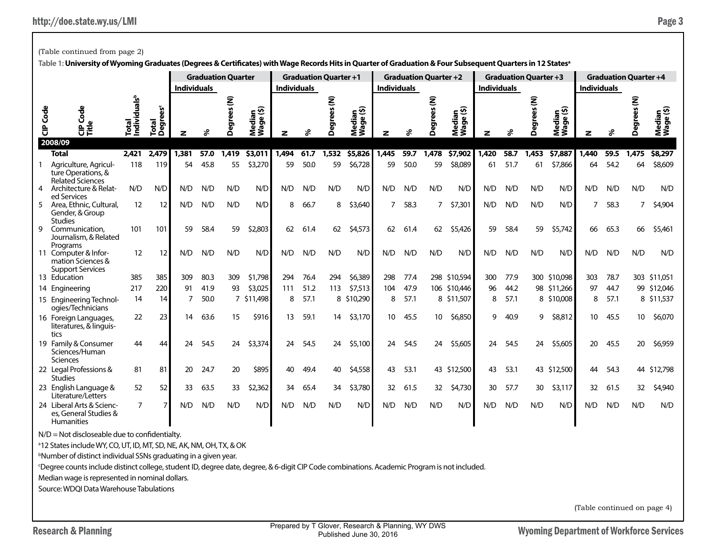(Table continued from page 2)

|                          | Table 1: University of Wyoming Graduates (Degrees & Certificates) with Wage Records Hits in Quarter of Graduation & Four Subsequent Quarters in 12 States <sup>a</sup> |                                   |                          |                    |      |                           |                     |                    |                              |               |                                               |                    |      |                              |                     |                    |      |                              |                                    |                    |      |                              |                     |
|--------------------------|------------------------------------------------------------------------------------------------------------------------------------------------------------------------|-----------------------------------|--------------------------|--------------------|------|---------------------------|---------------------|--------------------|------------------------------|---------------|-----------------------------------------------|--------------------|------|------------------------------|---------------------|--------------------|------|------------------------------|------------------------------------|--------------------|------|------------------------------|---------------------|
|                          |                                                                                                                                                                        |                                   |                          |                    |      | <b>Graduation Quarter</b> |                     |                    | <b>Graduation Quarter +1</b> |               |                                               |                    |      | <b>Graduation Quarter +2</b> |                     |                    |      | <b>Graduation Quarter +3</b> |                                    |                    |      | <b>Graduation Quarter +4</b> |                     |
|                          |                                                                                                                                                                        |                                   |                          | <b>Individuals</b> |      |                           |                     | <b>Individuals</b> |                              |               |                                               | <b>Individuals</b> |      |                              |                     | <b>Individuals</b> |      |                              |                                    | <b>Individuals</b> |      |                              |                     |
| Code<br>$\ddot{\vec{c}}$ | Code<br><b>Ce<br/>Citie</b><br>2008/09                                                                                                                                 | Total<br>Individuals <sup>b</sup> | <b>Degrees®</b><br>Total | z                  | వి   | ŝ<br>Degrees              | Median<br>Wage (\$) | z                  | ፠                            | ŝ<br>egi<br>۵ | ੂ⊕<br>edia<br>$\mathbf \omega$<br>Nedi<br>Wag | z                  | వి   | ŝ<br><b>Degrees</b>          | Median<br>Wage (\$) | z                  | چ    | ŝ<br>ర్టా<br>۵               | ledian<br>/age (\$)<br>Nedi<br>Wag | z                  | వి   | Ē<br>Deg                     | Median<br>Wage (\$) |
|                          | <b>Total</b>                                                                                                                                                           | 2.421                             | 2,479                    | 1.381              | 57.0 | 1,419                     | 53.011              | 1,494              | 61.7                         | 1,532         | \$5,826                                       | 1,445              | 59.7 | 1,478                        | \$7,902             | 1,420              | 58.7 | 1,453                        | \$7,887                            | 1.440              | 59.5 | 1,475                        | \$8,297             |
|                          | Agriculture, Agricul-<br>ture Operations, &<br><b>Related Sciences</b>                                                                                                 | 118                               | 119                      | 54                 | 45.8 | 55                        | \$3,270             | 59                 | 50.0                         | 59            | \$6,728                                       | 59                 | 50.0 | 59                           | \$8,089             | 61                 | 51.7 | 61                           | \$7,866                            | 64                 | 54.2 | 64                           | \$8,609             |
| 4                        | Architecture & Relat-<br>ed Services                                                                                                                                   | N/D                               | N/D                      | N/D                | N/D  | N/D                       | N/D                 | N/D                | N/D                          | N/D           | N/D                                           | N/D                | N/D  | N/D                          | N/D                 | N/D                | N/D  | N/D                          | N/D                                | N/D                | N/D  | N/D                          | N/D                 |
|                          | Area, Ethnic, Cultural,<br>Gender, & Group<br><b>Studies</b>                                                                                                           | 12                                | 12                       | N/D                | N/D  | N/D                       | N/D                 | 8                  | 66.7                         | 8             | \$3,640                                       | 7                  | 58.3 | $\overline{7}$               | \$7,301             | N/D                | N/D  | N/D                          | N/D                                | $\overline{7}$     | 58.3 | $\overline{7}$               | \$4,904             |
| 9                        | Communication.<br>Journalism, & Related<br>Programs                                                                                                                    | 101                               | 101                      | 59                 | 58.4 | 59                        | \$2,803             | 62                 | 61.4                         | 62            | \$4,573                                       | 62                 | 61.4 | 62                           | \$5,426             | 59                 | 58.4 | 59                           | \$5,742                            | 66                 | 65.3 | 66                           | \$5,461             |
|                          | 11 Computer & Infor-<br>mation Sciences &<br><b>Support Services</b>                                                                                                   | 12                                | 12                       | N/D                | N/D  | N/D                       | N/D                 | N/D                | N/D                          | N/D           | N/D                                           | N/D                | N/D  | N/D                          | N/D                 | N/D                | N/D  | N/D                          | N/D                                | N/D                | N/D  | N/D                          | N/D                 |
|                          | 13 Education                                                                                                                                                           | 385                               | 385                      | 309                | 80.3 | 309                       | \$1,798             | 294                | 76.4                         | 294           | \$6,389                                       | 298                | 77.4 |                              | 298 \$10,594        | 300                | 77.9 |                              | 300 \$10,098                       | 303                | 78.7 |                              | 303 \$11,051        |
|                          | 14 Engineering                                                                                                                                                         | 217                               | 220                      | 91                 | 41.9 | 93                        | \$3,025             | 111                | 51.2                         | 113           | \$7,513                                       | 104                | 47.9 |                              | 106 \$10,446        | 96                 | 44.2 |                              | 98 \$11,266                        | 97                 | 44.7 |                              | 99 \$12,046         |
|                          | 15 Engineering Technol-<br>ogies/Technicians                                                                                                                           | 14                                | 14                       |                    | 50.0 |                           | 7 \$11,498          | 8                  | 57.1                         |               | 8 \$10,290                                    | 8                  | 57.1 |                              | 8 \$11,507          | 8                  | 57.1 |                              | 8 \$10,008                         | 8                  | 57.1 |                              | 8 \$11,537          |
|                          | 16 Foreign Languages,<br>literatures, & linguis-<br>tics                                                                                                               | 22                                | 23                       | 14                 | 63.6 | 15                        | \$916               | 13                 | 59.1                         | 14            | \$3,170                                       | 10 <sup>°</sup>    | 45.5 | 10                           | \$6,850             | 9                  | 40.9 | 9                            | \$8,812                            | 10 <sup>°</sup>    | 45.5 | 10 <sup>°</sup>              | \$6,070             |
|                          | 19 Family & Consumer<br>Sciences/Human<br><b>Sciences</b>                                                                                                              | 44                                | 44                       | 24                 | 54.5 | 24                        | \$3,374             | 24                 | 54.5                         | 24            | \$5,100                                       | 24                 | 54.5 | 24                           | \$5,605             | 24                 | 54.5 | 24                           | \$5,605                            | 20                 | 45.5 | 20                           | \$6,959             |
|                          | 22 Legal Professions &<br><b>Studies</b>                                                                                                                               | 81                                | 81                       | 20                 | 24.7 | 20                        | \$895               | 40                 | 49.4                         | 40            | \$4,558                                       | 43                 | 53.1 |                              | 43 \$12,500         | 43                 | 53.1 |                              | 43 \$12,500                        | 44                 | 54.3 |                              | 44 \$12,798         |
|                          | 23 English Language &<br>Literature/Letters                                                                                                                            | 52                                | 52                       | 33                 | 63.5 | 33                        | \$2,362             | 34                 | 65.4                         | 34            | \$3,780                                       | 32                 | 61.5 | 32                           | \$4,730             | 30                 | 57.7 | 30                           | \$3,117                            | 32                 | 61.5 | 32                           | \$4,940             |
|                          | 24 Liberal Arts & Scienc-<br>es, General Studies &<br><b>Humanities</b>                                                                                                | 7                                 |                          | N/D                | N/D  | N/D                       | N/D                 | N/D                | N/D                          | N/D           | N/D                                           | N/D                | N/D  | N/D                          | N/D                 | N/D                | N/D  | N/D                          | N/D                                | N/D                | N/D  | N/D                          | N/D                 |

 $N/D = Not$  discloseable due to confidentialty.

<sup>a</sup>12 States include WY, CO, UT, ID, MT, SD, NE, AK, NM, OH, TX, & OK

b Number of distinct individual SSNs graduating in a given year.

c Degree counts include distinct college, student ID, degree date, degree, & 6-digit CIP Code combinations. Academic Program is not included.

Median wage is represented in nominal dollars.

Source: WDQI Data Warehouse Tabulations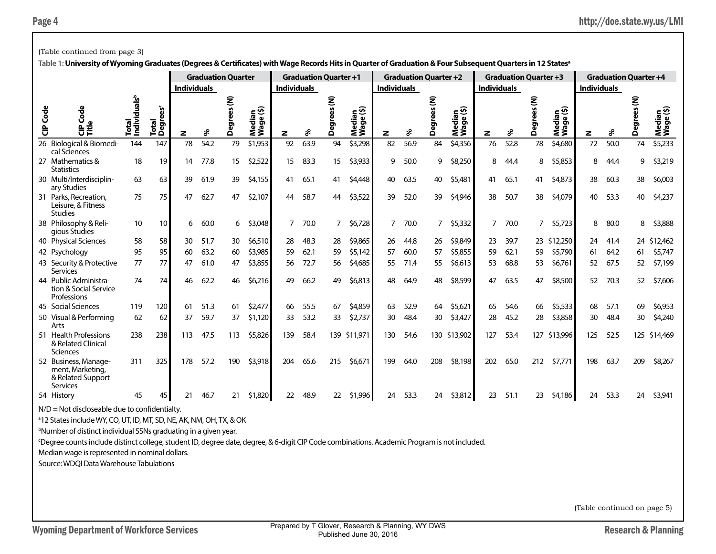|                                                                                                                                                                                                                                                                                                                                                                                                                                                                                                                                                                                                                                                                                                                                                                                                               | <b>Graduation Quarter +2</b><br><b>Graduation Quarter</b><br><b>Graduation Quarter +1</b><br><b>Graduation Quarter +3</b><br><b>Graduation Quarter +4</b><br><b>Individuals</b><br><b>Individuals</b><br><b>Individuals</b><br><b>Individuals</b><br><b>Individuals</b><br>Total<br>Individuals <sup>b</sup><br>ξ<br>ξ<br>egrees (N)<br>ξ<br>ŝ<br>Total<br>Degrees <sup>c</sup><br>ledian<br><sup>r</sup> age (\$)<br>⊆ છે<br>egrees<br>egrees<br><b>i</b><br>Degrees<br>ledian<br><sup>lage (\$)</sup><br>ledian<br>age (\$)<br>Median<br>Wage (\$)<br>ह<br>۵ì<br>ã<br>ledia<br><sup>lage</sup><br>Ū<br>င်္ခာ<br>စ<br>ω<br>양<br>శి<br>ళ<br>శి<br>శి<br>ŹŠ<br>ŹŠ<br>శి<br>ŹŠ<br>ŹŠ<br>ó<br>ó<br>Δ<br>z<br>۵<br>z<br>z<br>z<br>z<br>54.2<br>52.8<br>74<br>\$5,233<br>144<br>78<br>79<br>\$1,953<br>92<br>63.9<br>\$3,298<br>82<br>56.9<br>84<br>\$4,356<br>76<br>78<br>\$4,680<br>72<br>50.0<br>147<br>94<br>cal Sciences<br>19<br>\$2,522<br>\$3,933<br>50.0<br>\$8,250<br>8<br>\$5,853<br>18<br>77.8<br>15<br>15<br>83.3<br>15<br>9<br>9<br>8<br>8<br>9<br>\$3,219<br>14<br>44.4<br>44.4<br><b>Statistics</b><br>\$4,155<br>\$4,873<br>60.3<br>63<br>63<br>39<br>61.9<br>39<br>41<br>65.1<br>\$4,448<br>40<br>63.5<br>40<br>\$5,481<br>41<br>65.1<br>41<br>38<br>38<br>\$6,003<br>41<br>ary Studies<br>75<br>47<br>62.7<br>47<br>\$2,107<br>58.7<br>\$3,522<br>39<br>52.0<br>\$4,946<br>38<br>50.7<br>38<br>\$4,079<br>53.3<br>\$4,237<br>75<br>44<br>39<br>40<br>40<br>44<br>Leisure, & Fitness<br>Studies<br>\$3,048<br>\$5,723<br>10<br>10<br>60.0<br>70.0<br>\$6,728<br>7<br>70.0<br>\$5,332<br>7<br>70.0<br>$\overline{7}$<br>8<br>80.0<br>8<br>\$3,888<br>6<br>6<br>7<br>7<br>$\overline{7}$<br>gious Studies<br>58<br>51.7<br>\$6,510<br>48.3<br>\$9,865<br>\$9,849<br>39.7<br>23 \$12,250<br>24 \$12,462<br>58<br>30<br>30<br>28<br>28<br>26<br>44.8<br>26<br>23<br>24<br>41.4<br>95<br>63.2<br>\$3,985<br>62.1<br>\$5,142<br>57<br>60.0<br>\$5,855<br>62.1<br>\$5,790<br>\$5,747<br>95<br>60<br>59<br>59<br>57<br>59<br>59<br>64.2<br>60<br>61<br>61<br>77<br>77<br>61.0<br>\$3,855<br>68.8<br>\$6,761<br>\$7,199<br>47<br>56<br>72.7<br>56<br>\$4,685<br>71.4<br>\$6,613<br>53<br>67.5<br>52<br>47<br>55<br>55<br>53<br>52<br><b>Services</b><br>74<br>74<br>62.2<br>\$6,216<br>66.2<br>\$6,813<br>\$8,599<br>47<br>\$8,500<br>\$7,606<br>46<br>46<br>49<br>49<br>48<br>64.9<br>48<br>47<br>63.5<br>52<br>70.3<br>52<br>tion & Social Service<br>Professions<br>119<br>120<br>51.3<br>\$2,477<br>55.5<br>\$4,859<br>52.9<br>\$5,621<br>54.6<br>\$5,533<br>68<br>57.1<br>61<br>61<br>66<br>67<br>63<br>65<br>66<br>69<br>\$6,953<br>64 |  |  |         |  |  |  |  |  |  |  |  |  |  |  |  |  |  |  |
|---------------------------------------------------------------------------------------------------------------------------------------------------------------------------------------------------------------------------------------------------------------------------------------------------------------------------------------------------------------------------------------------------------------------------------------------------------------------------------------------------------------------------------------------------------------------------------------------------------------------------------------------------------------------------------------------------------------------------------------------------------------------------------------------------------------|--------------------------------------------------------------------------------------------------------------------------------------------------------------------------------------------------------------------------------------------------------------------------------------------------------------------------------------------------------------------------------------------------------------------------------------------------------------------------------------------------------------------------------------------------------------------------------------------------------------------------------------------------------------------------------------------------------------------------------------------------------------------------------------------------------------------------------------------------------------------------------------------------------------------------------------------------------------------------------------------------------------------------------------------------------------------------------------------------------------------------------------------------------------------------------------------------------------------------------------------------------------------------------------------------------------------------------------------------------------------------------------------------------------------------------------------------------------------------------------------------------------------------------------------------------------------------------------------------------------------------------------------------------------------------------------------------------------------------------------------------------------------------------------------------------------------------------------------------------------------------------------------------------------------------------------------------------------------------------------------------------------------------------------------------------------------------------------------------------------------------------------------------------------------------------------------------------------------------------------------------------------------------------------------------------------------------------------------------------------------------------------------------------------------------------------------------------------------------------------------------------------------------------------------------------------------------------------------------------------------------------------------------|--|--|---------|--|--|--|--|--|--|--|--|--|--|--|--|--|--|--|
|                                                                                                                                                                                                                                                                                                                                                                                                                                                                                                                                                                                                                                                                                                                                                                                                               |                                                                                                                                                                                                                                                                                                                                                                                                                                                                                                                                                                                                                                                                                                                                                                                                                                                                                                                                                                                                                                                                                                                                                                                                                                                                                                                                                                                                                                                                                                                                                                                                                                                                                                                                                                                                                                                                                                                                                                                                                                                                                                                                                                                                                                                                                                                                                                                                                                                                                                                                                                                                                                                  |  |  |         |  |  |  |  |  |  |  |  |  |  |  |  |  |  |  |
|                                                                                                                                                                                                                                                                                                                                                                                                                                                                                                                                                                                                                                                                                                                                                                                                               | 59.7<br>\$1,120<br>53.2<br>62<br>37<br>37<br>33<br>33<br>\$2,737<br>48.4<br>28<br>45.2<br>28<br>48.4<br>30<br>\$4,240<br>62<br>30<br>30<br>\$3,427<br>\$3,858<br>30<br>Arts<br>238<br>238<br>47.5<br>\$5,826<br>139<br>58.4<br>139 \$11,971<br>130 \$13,902<br>127<br>53.4<br>127 \$13,996<br>125 \$14,469<br>113<br>113<br>130<br>54.6<br>125<br>52.5<br>& Related Clinical<br>Sciences                                                                                                                                                                                                                                                                                                                                                                                                                                                                                                                                                                                                                                                                                                                                                                                                                                                                                                                                                                                                                                                                                                                                                                                                                                                                                                                                                                                                                                                                                                                                                                                                                                                                                                                                                                                                                                                                                                                                                                                                                                                                                                                                                                                                                                                         |  |  |         |  |  |  |  |  |  |  |  |  |  |  |  |  |  |  |
|                                                                                                                                                                                                                                                                                                                                                                                                                                                                                                                                                                                                                                                                                                                                                                                                               | \$3,918<br>\$8,198<br>\$7,771<br>198<br>\$8,267<br>311<br>325<br>178<br>57.2<br>190<br>204<br>65.6<br>215<br>\$6,671<br>199<br>64.0<br>208<br>202<br>65.0<br>212<br>63.7<br>209<br>ment, Marketing,                                                                                                                                                                                                                                                                                                                                                                                                                                                                                                                                                                                                                                                                                                                                                                                                                                                                                                                                                                                                                                                                                                                                                                                                                                                                                                                                                                                                                                                                                                                                                                                                                                                                                                                                                                                                                                                                                                                                                                                                                                                                                                                                                                                                                                                                                                                                                                                                                                              |  |  |         |  |  |  |  |  |  |  |  |  |  |  |  |  |  |  |
|                                                                                                                                                                                                                                                                                                                                                                                                                                                                                                                                                                                                                                                                                                                                                                                                               |                                                                                                                                                                                                                                                                                                                                                                                                                                                                                                                                                                                                                                                                                                                                                                                                                                                                                                                                                                                                                                                                                                                                                                                                                                                                                                                                                                                                                                                                                                                                                                                                                                                                                                                                                                                                                                                                                                                                                                                                                                                                                                                                                                                                                                                                                                                                                                                                                                                                                                                                                                                                                                                  |  |  |         |  |  |  |  |  |  |  |  |  |  |  |  |  |  |  |
|                                                                                                                                                                                                                                                                                                                                                                                                                                                                                                                                                                                                                                                                                                                                                                                                               |                                                                                                                                                                                                                                                                                                                                                                                                                                                                                                                                                                                                                                                                                                                                                                                                                                                                                                                                                                                                                                                                                                                                                                                                                                                                                                                                                                                                                                                                                                                                                                                                                                                                                                                                                                                                                                                                                                                                                                                                                                                                                                                                                                                                                                                                                                                                                                                                                                                                                                                                                                                                                                                  |  |  |         |  |  |  |  |  |  |  |  |  |  |  |  |  |  |  |
|                                                                                                                                                                                                                                                                                                                                                                                                                                                                                                                                                                                                                                                                                                                                                                                                               |                                                                                                                                                                                                                                                                                                                                                                                                                                                                                                                                                                                                                                                                                                                                                                                                                                                                                                                                                                                                                                                                                                                                                                                                                                                                                                                                                                                                                                                                                                                                                                                                                                                                                                                                                                                                                                                                                                                                                                                                                                                                                                                                                                                                                                                                                                                                                                                                                                                                                                                                                                                                                                                  |  |  |         |  |  |  |  |  |  |  |  |  |  |  |  |  |  |  |
|                                                                                                                                                                                                                                                                                                                                                                                                                                                                                                                                                                                                                                                                                                                                                                                                               |                                                                                                                                                                                                                                                                                                                                                                                                                                                                                                                                                                                                                                                                                                                                                                                                                                                                                                                                                                                                                                                                                                                                                                                                                                                                                                                                                                                                                                                                                                                                                                                                                                                                                                                                                                                                                                                                                                                                                                                                                                                                                                                                                                                                                                                                                                                                                                                                                                                                                                                                                                                                                                                  |  |  |         |  |  |  |  |  |  |  |  |  |  |  |  |  |  |  |
|                                                                                                                                                                                                                                                                                                                                                                                                                                                                                                                                                                                                                                                                                                                                                                                                               |                                                                                                                                                                                                                                                                                                                                                                                                                                                                                                                                                                                                                                                                                                                                                                                                                                                                                                                                                                                                                                                                                                                                                                                                                                                                                                                                                                                                                                                                                                                                                                                                                                                                                                                                                                                                                                                                                                                                                                                                                                                                                                                                                                                                                                                                                                                                                                                                                                                                                                                                                                                                                                                  |  |  |         |  |  |  |  |  |  |  |  |  |  |  |  |  |  |  |
|                                                                                                                                                                                                                                                                                                                                                                                                                                                                                                                                                                                                                                                                                                                                                                                                               |                                                                                                                                                                                                                                                                                                                                                                                                                                                                                                                                                                                                                                                                                                                                                                                                                                                                                                                                                                                                                                                                                                                                                                                                                                                                                                                                                                                                                                                                                                                                                                                                                                                                                                                                                                                                                                                                                                                                                                                                                                                                                                                                                                                                                                                                                                                                                                                                                                                                                                                                                                                                                                                  |  |  |         |  |  |  |  |  |  |  |  |  |  |  |  |  |  |  |
|                                                                                                                                                                                                                                                                                                                                                                                                                                                                                                                                                                                                                                                                                                                                                                                                               |                                                                                                                                                                                                                                                                                                                                                                                                                                                                                                                                                                                                                                                                                                                                                                                                                                                                                                                                                                                                                                                                                                                                                                                                                                                                                                                                                                                                                                                                                                                                                                                                                                                                                                                                                                                                                                                                                                                                                                                                                                                                                                                                                                                                                                                                                                                                                                                                                                                                                                                                                                                                                                                  |  |  |         |  |  |  |  |  |  |  |  |  |  |  |  |  |  |  |
| (Table continued from page 3)<br>Table 1: University of Wyoming Graduates (Degrees & Certificates) with Wage Records Hits in Quarter of Graduation & Four Subsequent Quarters in 12 States <sup>a</sup><br>CIP Cod<br>26 Biological & Biomedi-<br>27 Mathematics &<br>30 Multi/Interdisciplin-<br>31 Parks, Recreation,<br>38 Philosophy & Reli-<br>40 Physical Sciences<br>42 Psychology<br>43 Security & Protective<br>44 Public Administra-<br>45 Social Sciences<br>50 Visual & Performing<br>51 Health Professions<br>52 Business, Manage-<br>& Related Support<br>Services<br>\$1,996<br>46.7<br>\$1,820<br>22<br>48.9<br>22<br>24<br>53.3<br>\$3,812<br>23<br>51.1<br>23<br>\$4,186<br>24<br>53.3<br>54 History<br>45<br>45<br>21<br>21<br>24<br>24<br>$N/D = Not$ discloseable due to confidentialty. |                                                                                                                                                                                                                                                                                                                                                                                                                                                                                                                                                                                                                                                                                                                                                                                                                                                                                                                                                                                                                                                                                                                                                                                                                                                                                                                                                                                                                                                                                                                                                                                                                                                                                                                                                                                                                                                                                                                                                                                                                                                                                                                                                                                                                                                                                                                                                                                                                                                                                                                                                                                                                                                  |  |  |         |  |  |  |  |  |  |  |  |  |  |  |  |  |  |  |
|                                                                                                                                                                                                                                                                                                                                                                                                                                                                                                                                                                                                                                                                                                                                                                                                               |                                                                                                                                                                                                                                                                                                                                                                                                                                                                                                                                                                                                                                                                                                                                                                                                                                                                                                                                                                                                                                                                                                                                                                                                                                                                                                                                                                                                                                                                                                                                                                                                                                                                                                                                                                                                                                                                                                                                                                                                                                                                                                                                                                                                                                                                                                                                                                                                                                                                                                                                                                                                                                                  |  |  | \$3,941 |  |  |  |  |  |  |  |  |  |  |  |  |  |  |  |
|                                                                                                                                                                                                                                                                                                                                                                                                                                                                                                                                                                                                                                                                                                                                                                                                               |                                                                                                                                                                                                                                                                                                                                                                                                                                                                                                                                                                                                                                                                                                                                                                                                                                                                                                                                                                                                                                                                                                                                                                                                                                                                                                                                                                                                                                                                                                                                                                                                                                                                                                                                                                                                                                                                                                                                                                                                                                                                                                                                                                                                                                                                                                                                                                                                                                                                                                                                                                                                                                                  |  |  |         |  |  |  |  |  |  |  |  |  |  |  |  |  |  |  |
|                                                                                                                                                                                                                                                                                                                                                                                                                                                                                                                                                                                                                                                                                                                                                                                                               |                                                                                                                                                                                                                                                                                                                                                                                                                                                                                                                                                                                                                                                                                                                                                                                                                                                                                                                                                                                                                                                                                                                                                                                                                                                                                                                                                                                                                                                                                                                                                                                                                                                                                                                                                                                                                                                                                                                                                                                                                                                                                                                                                                                                                                                                                                                                                                                                                                                                                                                                                                                                                                                  |  |  |         |  |  |  |  |  |  |  |  |  |  |  |  |  |  |  |
|                                                                                                                                                                                                                                                                                                                                                                                                                                                                                                                                                                                                                                                                                                                                                                                                               |                                                                                                                                                                                                                                                                                                                                                                                                                                                                                                                                                                                                                                                                                                                                                                                                                                                                                                                                                                                                                                                                                                                                                                                                                                                                                                                                                                                                                                                                                                                                                                                                                                                                                                                                                                                                                                                                                                                                                                                                                                                                                                                                                                                                                                                                                                                                                                                                                                                                                                                                                                                                                                                  |  |  |         |  |  |  |  |  |  |  |  |  |  |  |  |  |  |  |
|                                                                                                                                                                                                                                                                                                                                                                                                                                                                                                                                                                                                                                                                                                                                                                                                               |                                                                                                                                                                                                                                                                                                                                                                                                                                                                                                                                                                                                                                                                                                                                                                                                                                                                                                                                                                                                                                                                                                                                                                                                                                                                                                                                                                                                                                                                                                                                                                                                                                                                                                                                                                                                                                                                                                                                                                                                                                                                                                                                                                                                                                                                                                                                                                                                                                                                                                                                                                                                                                                  |  |  |         |  |  |  |  |  |  |  |  |  |  |  |  |  |  |  |
|                                                                                                                                                                                                                                                                                                                                                                                                                                                                                                                                                                                                                                                                                                                                                                                                               |                                                                                                                                                                                                                                                                                                                                                                                                                                                                                                                                                                                                                                                                                                                                                                                                                                                                                                                                                                                                                                                                                                                                                                                                                                                                                                                                                                                                                                                                                                                                                                                                                                                                                                                                                                                                                                                                                                                                                                                                                                                                                                                                                                                                                                                                                                                                                                                                                                                                                                                                                                                                                                                  |  |  |         |  |  |  |  |  |  |  |  |  |  |  |  |  |  |  |
|                                                                                                                                                                                                                                                                                                                                                                                                                                                                                                                                                                                                                                                                                                                                                                                                               |                                                                                                                                                                                                                                                                                                                                                                                                                                                                                                                                                                                                                                                                                                                                                                                                                                                                                                                                                                                                                                                                                                                                                                                                                                                                                                                                                                                                                                                                                                                                                                                                                                                                                                                                                                                                                                                                                                                                                                                                                                                                                                                                                                                                                                                                                                                                                                                                                                                                                                                                                                                                                                                  |  |  |         |  |  |  |  |  |  |  |  |  |  |  |  |  |  |  |
|                                                                                                                                                                                                                                                                                                                                                                                                                                                                                                                                                                                                                                                                                                                                                                                                               |                                                                                                                                                                                                                                                                                                                                                                                                                                                                                                                                                                                                                                                                                                                                                                                                                                                                                                                                                                                                                                                                                                                                                                                                                                                                                                                                                                                                                                                                                                                                                                                                                                                                                                                                                                                                                                                                                                                                                                                                                                                                                                                                                                                                                                                                                                                                                                                                                                                                                                                                                                                                                                                  |  |  |         |  |  |  |  |  |  |  |  |  |  |  |  |  |  |  |

a 12 States include WY, CO, UT, ID, MT, SD, NE, AK, NM, OH, TX, & OK

b Number of distinct individual SSNs graduating in a given year.

c Degree counts include distinct college, student ID, degree date, degree, & 6-digit CIP Code combinations. Academic Program is not included.

Median wage is represented in nominal dollars.

Source: WDQI Data Warehouse Tabulations

(Table continued on page 5)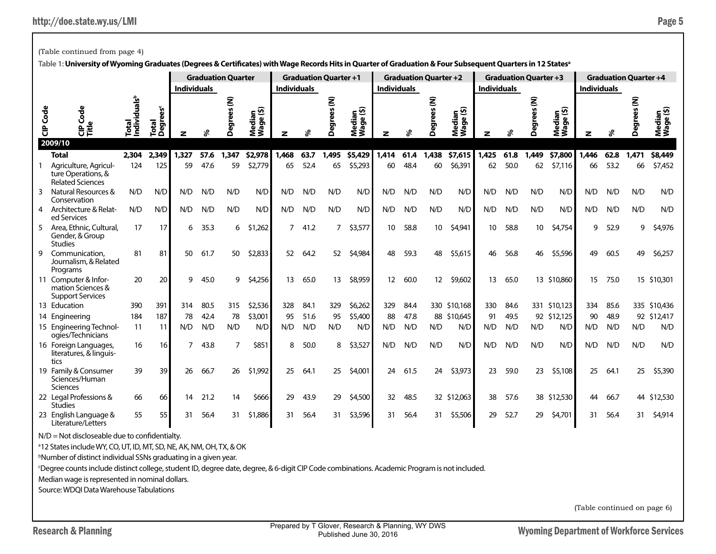(Table continued from page 4)

|          | Table 1: University of Wyoming Graduates (Degrees & Certificates) with Wage Records Hits in Quarter of Graduation & Four Subsequent Quarters in 12 States <sup>a</sup><br><b>Graduation Quarter</b><br><b>Graduation Quarter +1</b> |                                   |                               |                    |      |             |                     |                    |      |                        |                         |                    |      |                              |                     |                    |      |                              |                     |                    |      |                              |                     |
|----------|-------------------------------------------------------------------------------------------------------------------------------------------------------------------------------------------------------------------------------------|-----------------------------------|-------------------------------|--------------------|------|-------------|---------------------|--------------------|------|------------------------|-------------------------|--------------------|------|------------------------------|---------------------|--------------------|------|------------------------------|---------------------|--------------------|------|------------------------------|---------------------|
|          |                                                                                                                                                                                                                                     |                                   |                               |                    |      |             |                     |                    |      |                        |                         |                    |      | <b>Graduation Quarter +2</b> |                     |                    |      | <b>Graduation Quarter +3</b> |                     |                    |      | <b>Graduation Quarter +4</b> |                     |
|          |                                                                                                                                                                                                                                     |                                   |                               | <b>Individuals</b> |      |             |                     | <b>Individuals</b> |      |                        |                         | <b>Individuals</b> |      |                              |                     | <b>Individuals</b> |      |                              |                     | <b>Individuals</b> |      |                              |                     |
| CIP Code | Code<br>양<br>2009/10                                                                                                                                                                                                                | Individuals <sup>b</sup><br>Total | Total<br>Degrees <sup>c</sup> | z                  | ℅    | Degrees (N) | Median<br>Wage (\$) | z                  | వి   | Degrees <sub>(N)</sub> | edian<br>age (\$)<br>≹Š | z                  | వి   | Degrees (N)                  | Median<br>Wage (\$) |                    | వి   | ŝ<br>Degre                   | Median<br>Wage (\$) | z                  |      | ξ<br>Degrees                 | Median<br>Wage (\$) |
|          | <b>Total</b>                                                                                                                                                                                                                        | 2,304                             | 2,349                         | 1,327              | 57.6 | 1,347       | \$2,978             | 1,468              | 63.7 | 1,495                  | \$5,429                 | 1,414              | 61.4 | 1,438                        | \$7,615             | 1,425              | 61.8 | 1,449                        | \$7,800             | 1,446              | 62.8 | 1,471                        | \$8,449             |
|          | Agriculture, Agricul-<br>ture Operations, &<br><b>Related Sciences</b>                                                                                                                                                              | 124                               | 125                           | 59                 | 47.6 | 59          | \$2,779             | 65                 | 52.4 | 65                     | \$5,293                 | 60                 | 48.4 | 60                           | \$6,391             | 62                 | 50.0 | 62                           | \$7,116             | 66                 | 53.2 | 66                           | \$7,452             |
| 3        | Natural Resources &<br>Conservation                                                                                                                                                                                                 | N/D                               | N/D                           | N/D                | N/D  | N/D         | N/D                 | N/D                | N/D  | N/D                    | N/D                     | N/D                | N/D  | N/D                          | N/D                 | N/D                | N/D  | N/D                          | N/D                 | N/D                | N/D  | N/D                          | N/D                 |
| 4        | Architecture & Relat-<br>ed Services                                                                                                                                                                                                | N/D                               | N/D                           | N/D                | N/D  | N/D         | N/D                 | N/D                | N/D  | N/D                    | N/D                     | N/D                | N/D  | N/D                          | N/D                 | N/D                | N/D  | N/D                          | N/D                 | N/D                | N/D  | N/D                          | N/D                 |
|          | Area, Ethnic, Cultural,<br>Gender, & Group<br><b>Studies</b>                                                                                                                                                                        | 17                                | 17                            | 6                  | 35.3 | 6           | \$1,262             | 7                  | 41.2 | 7                      | \$3,577                 | 10                 | 58.8 | 10                           | \$4,941             | 10                 | 58.8 | 10                           | \$4,754             | q                  | 52.9 | 9                            | \$4,976             |
| 9        | Communication.<br>Journalism, & Related<br>Programs                                                                                                                                                                                 | 81                                | 81                            | 50                 | 61.7 | 50          | \$2,833             | 52                 | 64.2 | 52                     | \$4,984                 | 48                 | 59.3 | 48                           | \$5,615             | 46                 | 56.8 | 46                           | \$5,596             | 49                 | 60.5 | 49                           | \$6,257             |
|          | 11 Computer & Infor-<br>mation Sciences &<br><b>Support Services</b>                                                                                                                                                                | 20                                | 20                            | 9                  | 45.0 | 9           | \$4,256             | 13                 | 65.0 | 13                     | \$8,959                 | 12                 | 60.0 | 12                           | \$9,602             | 13                 | 65.0 |                              | 13 \$10,860         | 15                 | 75.0 |                              | 15 \$10,301         |
|          | 13 Education                                                                                                                                                                                                                        | 390                               | 391                           | 314                | 80.5 | 315         | \$2,536             | 328                | 84.1 | 329                    | \$6,262                 | 329                | 84.4 |                              | 330 \$10,168        | 330                | 84.6 |                              | 331 \$10,123        | 334                | 85.6 |                              | 335 \$10,436        |
|          | 14 Engineering                                                                                                                                                                                                                      | 184                               | 187                           | 78                 | 42.4 | 78          | \$3,001             | 95                 | 51.6 | 95                     | \$5,400                 | 88                 | 47.8 |                              | 88 \$10,645         | 91                 | 49.5 |                              | 92 \$12.125         | 90                 | 48.9 |                              | 92 \$12,417         |
|          | 15 Engineering Technol-<br>ogies/Technicians                                                                                                                                                                                        | 11                                | 11                            | N/D                | N/D  | N/D         | N/D                 | N/D                | N/D  | N/D                    | N/D                     | N/D                | N/D  | N/D                          | N/D                 | N/D                | N/D  | N/D                          | N/D                 | N/D                | N/D  | N/D                          | N/D                 |
|          | 16 Foreign Languages,<br>literatures, & linguis-<br>tics                                                                                                                                                                            | 16                                | 16                            |                    | 43.8 | 7           | \$851               | 8                  | 50.0 | 8                      | \$3,527                 | N/D                | N/D  | N/D                          | N/D                 | N/D                | N/D  | N/D                          | N/D                 | N/D                | N/D  | N/D                          | N/D                 |
|          | 19 Family & Consumer<br>Sciences/Human<br><b>Sciences</b>                                                                                                                                                                           | 39                                | 39                            | 26                 | 66.7 | 26          | \$1,992             | 25                 | 64.1 | 25                     | \$4,001                 | 24                 | 61.5 | 24                           | \$3,973             | 23                 | 59.0 | 23                           | \$5,108             | 25                 | 64.1 | 25                           | \$5,390             |
|          | 22 Legal Professions &<br><b>Studies</b>                                                                                                                                                                                            | 66                                | 66                            | 14                 | 21.2 | 14          | \$666               | 29                 | 43.9 | 29                     | \$4,500                 | 32                 | 48.5 |                              | 32 \$12,063         | 38                 | 57.6 |                              | 38 \$12,530         | 44                 | 66.7 |                              | 44 \$12,530         |
|          | 23 English Language &<br>Literature/Letters                                                                                                                                                                                         | 55                                | 55                            | 31                 | 56.4 | 31          | \$1,886             | 31                 | 56.4 | 31                     | \$3,596                 | 31                 | 56.4 | 31                           | \$5,506             | 29                 | 52.7 | 29                           | \$4,701             | 31                 | 56.4 | 31                           | \$4,914             |
|          | $N/D = Not$ discloseable due to confidentialty.                                                                                                                                                                                     |                                   |                               |                    |      |             |                     |                    |      |                        |                         |                    |      |                              |                     |                    |      |                              |                     |                    |      |                              |                     |

<sup>a</sup>12 States include WY, CO, UT, ID, MT, SD, NE, AK, NM, OH, TX, & OK

b Number of distinct individual SSNs graduating in a given year.

c Degree counts include distinct college, student ID, degree date, degree, & 6-digit CIP Code combinations. Academic Program is not included.

Median wage is represented in nominal dollars.

Source: WDQI Data Warehouse Tabulations

(Table continued on page 6)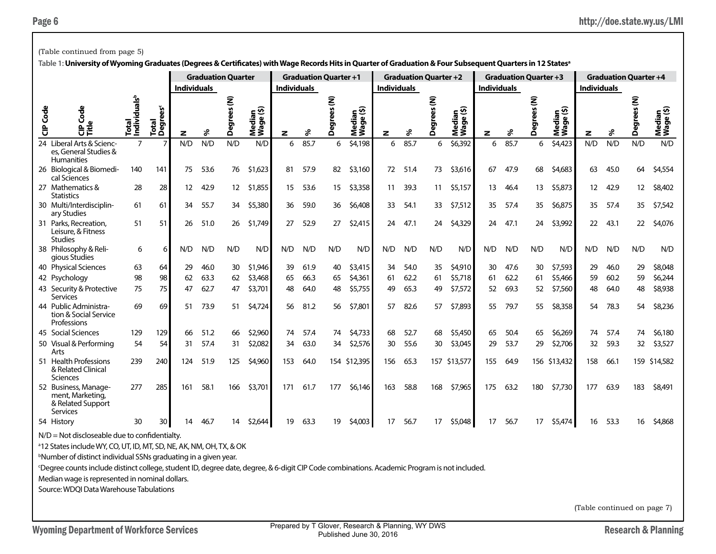|          | (Table continued from page 5)                                                                                                                                          |                                   |                               |                    |      |                           |                     |                    |                              |                      |                                     |                    |      |                              |                          |                    |                              |                   |                     |                    |      |                              |                     |
|----------|------------------------------------------------------------------------------------------------------------------------------------------------------------------------|-----------------------------------|-------------------------------|--------------------|------|---------------------------|---------------------|--------------------|------------------------------|----------------------|-------------------------------------|--------------------|------|------------------------------|--------------------------|--------------------|------------------------------|-------------------|---------------------|--------------------|------|------------------------------|---------------------|
|          | Table 1: University of Wyoming Graduates (Degrees & Certificates) with Wage Records Hits in Quarter of Graduation & Four Subsequent Quarters in 12 States <sup>a</sup> |                                   |                               |                    |      |                           |                     |                    |                              |                      |                                     |                    |      |                              |                          |                    |                              |                   |                     |                    |      |                              |                     |
|          |                                                                                                                                                                        |                                   |                               |                    |      | <b>Graduation Quarter</b> |                     |                    | <b>Graduation Quarter +1</b> |                      |                                     |                    |      | <b>Graduation Quarter +2</b> |                          |                    | <b>Graduation Quarter +3</b> |                   |                     |                    |      | <b>Graduation Quarter +4</b> |                     |
|          |                                                                                                                                                                        |                                   |                               | <b>Individuals</b> |      |                           |                     | <b>Individuals</b> |                              |                      |                                     | <b>Individuals</b> |      |                              |                          | <b>Individuals</b> |                              |                   |                     | <b>Individuals</b> |      |                              |                     |
| CIP Code | 향<br>Δ.<br>양토                                                                                                                                                          | Individuals <sup>b</sup><br>Total | Total<br>Degrees <sup>c</sup> | z                  | శి   | Ê<br>ပ္ၿ<br>Degree        | Median<br>Wage (\$) | z                  | శి                           | ⋷<br>5<br>egree<br>Ă | <u>କୁଟ</u><br>ଆ<br>Mediar<br>Wage ( | z                  | %    | ŝ<br>egrees<br>Ă             | ∈ ທີ<br>Mediar<br>Wage ( | z                  | s                            | ξ<br>egrees<br>Õ. | Median<br>Wage (\$) | z                  | ℅    | Ē<br>egree<br>Ă              | Median<br>Wage (\$) |
|          | 24 Liberal Arts & Scienc-<br>es, General Studies &<br><b>Humanities</b>                                                                                                | $\overline{7}$                    | $\overline{7}$                | N/D                | N/D  | N/D                       | N/D                 | 6                  | 85.7                         | 6                    | \$4,198                             | 6                  | 85.7 | 6                            | \$6,392                  | 6                  | 85.7                         | 6                 | \$4,423             | N/D                | N/D  | N/D                          | N/D                 |
|          | 26 Biological & Biomedi-<br>cal Sciences                                                                                                                               | 140                               | 141                           | 75                 | 53.6 | 76                        | \$1,623             | 81                 | 57.9                         | 82                   | \$3,160                             | 72                 | 51.4 | 73                           | \$3,616                  | 67                 | 47.9                         | 68                | \$4,683             | 63                 | 45.0 | 64                           | \$4,554             |
|          | <b>Statistics</b>                                                                                                                                                      | 28                                | 28                            | 12                 | 42.9 | 12                        | \$1,855             | 15                 | 53.6                         | 15                   | \$3,358                             | 11                 | 39.3 | 11                           | \$5,157                  | 13                 | 46.4                         | 13                | \$5,873             | 12                 | 42.9 | 12                           | \$8,402             |
|          | ary Studies                                                                                                                                                            | 61                                | 61                            | 34                 | 55.7 | 34                        | \$5,380             | 36                 | 59.0                         | 36                   | \$6,408                             | 33                 | 54.1 | 33                           | \$7,512                  | 35                 | 57.4                         | 35                | \$6,875             | 35                 | 57.4 | 35                           | \$7,542             |
|          | 27 Mathematics &<br>30 Multi/Interdisciplin-<br>31 Parks, Recreation,<br>51<br>51<br>51.0<br>26<br>Leisure, & Fitness<br><b>Studies</b>                                |                                   |                               |                    |      |                           | \$1,749             | 27                 | 52.9                         | 27                   | \$2,415                             | 24                 | 47.1 | 24                           | \$4,329                  | 24                 | 47.1                         | 24                | \$3,992             | 22                 | 43.1 | 22                           | \$4,076             |
|          | 38 Philosophy & Reli-<br>gious Studies                                                                                                                                 | 6                                 | 6                             | N/D                | N/D  | N/D                       | N/D                 | N/D                | N/D                          | N/D                  | N/D                                 | N/D                | N/D  | N/D                          | N/D                      | N/D                | N/D                          | N/D               | N/D                 | N/D                | N/D  | N/D                          | N/D                 |
|          | 40 Physical Sciences                                                                                                                                                   | 63                                | 64                            | 29                 | 46.0 | 30                        | \$1,946             | 39                 | 61.9                         | 40                   | \$3,415                             | 34                 | 54.0 | 35                           | \$4,910                  | 30                 | 47.6                         | 30                | \$7,593             | 29                 | 46.0 | 29                           | \$8,048             |
|          | 42 Psychology                                                                                                                                                          | 98                                | 98                            | 62                 | 63.3 | 62                        | \$3,468             | 65                 | 66.3                         | 65                   | \$4,361                             | 61                 | 62.2 | 61                           | \$5,718                  | 61                 | 62.2                         | 61                | \$5,466             | 59                 | 60.2 | 59                           | \$6,244             |
|          | 43 Security & Protective<br><b>Services</b>                                                                                                                            | 75                                | 75                            | 47                 | 62.7 | 47                        | \$3,701             | 48                 | 64.0                         | 48                   | \$5,755                             | 49                 | 65.3 | 49                           | \$7,572                  | 52                 | 69.3                         | 52                | \$7,560             | 48                 | 64.0 | 48                           | \$8,938             |
|          | 44 Public Administra-<br>tion & Social Service<br>Professions                                                                                                          | 69                                | 69                            | 51                 | 73.9 | 51                        | \$4,724             | 56                 | 81.2                         | 56                   | \$7,801                             | 57                 | 82.6 | 57                           | \$7,893                  | 55                 | 79.7                         | 55                | \$8,358             | 54                 | 78.3 | 54                           | \$8,236             |
|          | 45 Social Sciences                                                                                                                                                     | 129                               | 129                           | 66                 | 51.2 | 66                        | \$2,960             | 74                 | 57.4                         | 74                   | \$4,733                             | 68                 | 52.7 | 68                           | \$5,450                  | 65                 | 50.4                         | 65                | \$6,269             | 74                 | 57.4 | 74                           | \$6,180             |
|          | 50 Visual & Performing<br>Arts                                                                                                                                         | 54                                | 54                            | 31                 | 57.4 | 31                        | \$2,082             | 34                 | 63.0                         | 34                   | \$2,576                             | 30                 | 55.6 | 30                           | \$3,045                  | 29                 | 53.7                         | 29                | \$2,706             | 32                 | 59.3 | 32                           | \$3,527             |
|          | 51 Health Professions<br>& Related Clinical<br>Sciences                                                                                                                | 239                               | 240                           | 124                | 51.9 | 125                       | \$4,960             | 153                | 64.0                         |                      | 154 \$12,395                        | 156                | 65.3 |                              | 157 \$13,577             | 155                | 64.9                         |                   | 156 \$13,432        | 158                | 66.1 |                              | 159 \$14,582        |
|          | 52 Business, Manage-<br>ment. Marketing.<br>& Related Support<br>Services                                                                                              | 277                               | 285                           | 161                | 58.1 | 166                       | \$3,701             | 171                | 61.7                         | 177                  | \$6,146                             | 163                | 58.8 | 168                          | \$7,965                  | 175                | 63.2                         | 180               | \$7,730             | 177                | 63.9 | 183                          | \$8,491             |
|          | 54 History                                                                                                                                                             | 30                                | 30                            | 14                 | 46.7 | 14                        | \$2,644             | 19                 | 63.3                         | 19                   | \$4,003                             | 17                 | 56.7 | 17                           | \$5,048                  | 17                 | 56.7                         | 17                | \$5,474             | 16                 | 53.3 | 16                           | \$4,868             |
|          | $N/D = Not$ discloseable due to confidentialty.                                                                                                                        |                                   |                               |                    |      |                           |                     |                    |                              |                      |                                     |                    |      |                              |                          |                    |                              |                   |                     |                    |      |                              |                     |

a 12 States include WY, CO, UT, ID, MT, SD, NE, AK, NM, OH, TX, & OK

b Number of distinct individual SSNs graduating in a given year.

c Degree counts include distinct college, student ID, degree date, degree, & 6-digit CIP Code combinations. Academic Program is not included.

Median wage is represented in nominal dollars.

Source: WDQI Data Warehouse Tabulations

(Table continued on page 7)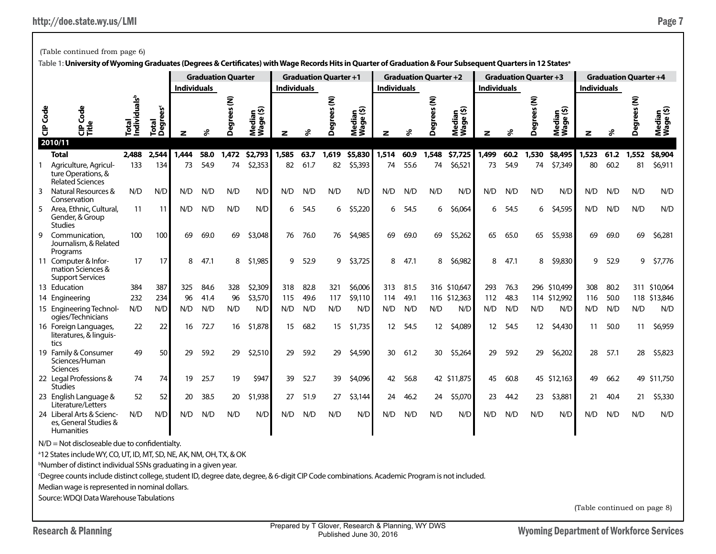(Table continued from page 6)

|                 | <b>Graduation Quarter</b><br><b>Individuals</b>                                                                                             |                                   |                         |       |      |                    |                     |                    |      | <b>Graduation Quarter +1</b> |                     |                    |      | <b>Graduation Quarter +2</b> |                     |                    |      | <b>Graduation Quarter +3</b> |                     |                             |      | <b>Graduation Quarter +4</b> |                     |
|-----------------|---------------------------------------------------------------------------------------------------------------------------------------------|-----------------------------------|-------------------------|-------|------|--------------------|---------------------|--------------------|------|------------------------------|---------------------|--------------------|------|------------------------------|---------------------|--------------------|------|------------------------------|---------------------|-----------------------------|------|------------------------------|---------------------|
|                 |                                                                                                                                             |                                   |                         |       |      |                    |                     | <b>Individuals</b> |      |                              |                     | <b>Individuals</b> |      |                              |                     | <b>Individuals</b> |      |                              |                     | <b>Individuals</b>          |      |                              |                     |
| <b>CIP</b> Code | Code<br>le<br>е∎ਁ<br>2010/11                                                                                                                | Total<br>Individuals <sup>b</sup> | <b>Degrees</b><br>Total | z     | వి   | <b>Degrees</b> (N) | Median<br>Wage (\$) | z                  | ℅    | <b>Degrees</b> (N)           | Median<br>Wage (\$) | z                  | ℅    | Ē<br><b>Degrees</b>          | Median<br>Wage (\$) | z                  | శి   | ξ<br><b>Degrees</b>          | Median<br>Wage (\$) | z                           | శి   | ξ<br><b>Degrees</b>          | Median<br>Wage (\$) |
|                 | <b>Total</b>                                                                                                                                | 2,488                             | 2,544                   | 1.444 | 58.0 | 1,472              | \$2,793             | 1,585              | 63.7 | 1,619                        | \$5,830             | 1,514              | 60.9 | 1,548                        | \$7,725             | 1,499              | 60.2 | 1,530                        | \$8,495             | 1,523                       | 61.2 | 1,552                        | \$8,904             |
|                 | Agriculture, Agricul-<br>ture Operations, &<br><b>Related Sciences</b>                                                                      | 133                               | 134                     | 73    | 54.9 | 74                 | \$2,353             | 82                 | 61.7 | 82                           | \$5,393             | 74                 | 55.6 | 74                           | \$6,521             | 73                 | 54.9 | 74                           | \$7,349             | 80                          | 60.2 | 81                           | \$6,911             |
| 3               | Natural Resources &<br>Conservation                                                                                                         | N/D                               | N/D                     | N/D   | N/D  | N/D                | N/D                 | N/D                | N/D  | N/D                          | N/D                 | N/D                | N/D  | N/D                          | N/D                 | N/D                | N/D  | N/D                          | N/D                 | N/D                         | N/D  | N/D                          | N/D                 |
| 5               | Area, Ethnic, Cultural,<br>Gender, & Group<br><b>Studies</b>                                                                                | 11                                | -11                     | N/D   | N/D  | N/D                | N/D                 | 6                  | 54.5 | 6                            | \$5,220             | 6                  | 54.5 | 6                            | \$6,064             | 6                  | 54.5 | 6                            | \$4,595             | N/D                         | N/D  | N/D                          | N/D                 |
| 9               | Communication.<br>Journalism, & Related<br>Programs                                                                                         | 100                               | 100                     | 69    | 69.0 | 69                 | \$3,048             | 76                 | 76.0 | 76                           | \$4,985             | 69                 | 69.0 | 69                           | \$5,262             | 65                 | 65.0 | 65                           | \$5,938             | 69                          | 69.0 | 69                           | \$6,281             |
|                 | 11 Computer & Infor-<br>mation Sciences &<br><b>Support Services</b>                                                                        | 17                                | 17                      | 8     | 47.1 | 8                  | \$1,985             | 9                  | 52.9 | 9                            | \$3,725             | 8                  | 47.1 | 8                            | \$6,982             | 8                  | 47.1 | 8                            | \$9,830             | 9                           | 52.9 | 9                            | \$7,776             |
|                 | 13 Education                                                                                                                                | 384                               | 387                     | 325   | 84.6 | 328                | \$2,309             | 318                | 82.8 | 321                          | \$6,006             | 313                | 81.5 |                              | 316 \$10,647        | 293                | 76.3 |                              | 296 \$10,499        | 308                         | 80.2 |                              | 311 \$10,064        |
|                 | 14 Engineering                                                                                                                              | 232                               | 234                     | 96    | 41.4 | 96                 | \$3,570             | 115                | 49.6 | 117                          | \$9,110             | 114                | 49.1 |                              | 116 \$12,363        | 112                | 48.3 |                              | 114 \$12,992        | 116                         | 50.0 |                              | 118 \$13,846        |
|                 | 15 Engineering Technol-<br>ogies/Technicians                                                                                                | N/D                               | N/D                     | N/D   | N/D  | N/D                | N/D                 | N/D                | N/D  | N/D                          | N/D                 | N/D                | N/D  | N/D                          | N/D                 | N/D                | N/D  | N/D                          | N/D                 | N/D                         | N/D  | N/D                          | N/D                 |
|                 | 16 Foreign Languages,<br>literatures, & linguis-<br>tics                                                                                    | 22                                | 22                      | 16    | 72.7 | 16                 | \$1,878             | 15                 | 68.2 | 15                           | \$1,735             | $12 \overline{ }$  | 54.5 | 12                           | \$4,089             | 12 <sup>2</sup>    | 54.5 | 12 <sup>2</sup>              | \$4,430             | -11                         | 50.0 | 11                           | \$6,959             |
|                 | 19 Family & Consumer<br>Sciences/Human<br>Sciences                                                                                          | 49                                | 50                      | 29    | 59.2 | 29                 | \$2,510             | 29                 | 59.2 | 29                           | \$4,590             | 30                 | 61.2 | 30                           | \$5,264             | 29                 | 59.2 | 29                           | \$6,202             | 28                          | 57.1 | 28                           | \$5,823             |
|                 | 22 Legal Professions &<br><b>Studies</b>                                                                                                    | 74                                | 74                      | 19    | 25.7 | 19                 | \$947               | 39                 | 52.7 | 39                           | \$4,096             | 42                 | 56.8 |                              | 42 \$11,875         | 45                 | 60.8 |                              | 45 \$12,163         | 49                          | 66.2 |                              | 49 \$11,750         |
|                 | 23 English Language &<br>Literature/Letters                                                                                                 | 52                                | 52                      | 20    | 38.5 | 20                 | \$1,938             | 27                 | 51.9 | 27                           | \$3,144             | 24                 | 46.2 | 24                           | \$5,070             | 23                 | 44.2 | 23                           | \$3,881             | 21                          | 40.4 | 21                           | \$5,330             |
|                 | 24 Liberal Arts & Scienc-<br>es, General Studies &<br><b>Humanities</b>                                                                     | N/D                               | N/D                     | N/D   | N/D  | N/D                | N/D                 | N/D                | N/D  | N/D                          | N/D                 | N/D                | N/D  | N/D                          | N/D                 | N/D                | N/D  | N/D                          | N/D                 | N/D                         | N/D  | N/D                          | N/D                 |
|                 | N/D = Not discloseable due to confidentialty.                                                                                               |                                   |                         |       |      |                    |                     |                    |      |                              |                     |                    |      |                              |                     |                    |      |                              |                     |                             |      |                              |                     |
|                 | <sup>a</sup> 12 States include WY, CO, UT, ID, MT, SD, NE, AK, NM, OH, TX, & OK                                                             |                                   |                         |       |      |                    |                     |                    |      |                              |                     |                    |      |                              |                     |                    |      |                              |                     |                             |      |                              |                     |
|                 | <sup>b</sup> Number of distinct individual SSNs graduating in a given year.                                                                 |                                   |                         |       |      |                    |                     |                    |      |                              |                     |                    |      |                              |                     |                    |      |                              |                     |                             |      |                              |                     |
|                 | Degree counts include distinct college, student ID, degree date, degree, & 6-digit CIP Code combinations. Academic Program is not included. |                                   |                         |       |      |                    |                     |                    |      |                              |                     |                    |      |                              |                     |                    |      |                              |                     |                             |      |                              |                     |
|                 | Median wage is represented in nominal dollars.                                                                                              |                                   |                         |       |      |                    |                     |                    |      |                              |                     |                    |      |                              |                     |                    |      |                              |                     |                             |      |                              |                     |
|                 | Source: WDQI Data Warehouse Tabulations                                                                                                     |                                   |                         |       |      |                    |                     |                    |      |                              |                     |                    |      |                              |                     |                    |      |                              |                     |                             |      |                              |                     |
|                 |                                                                                                                                             |                                   |                         |       |      |                    |                     |                    |      |                              |                     |                    |      |                              |                     |                    |      |                              |                     | (Table continued on page 8) |      |                              |                     |

**Table 1: University of Wyoming Graduates (Degrees & Certificates) with Wage Records Hits in Quarter of Graduation & Four Subsequent Quarters in 12 Statesa**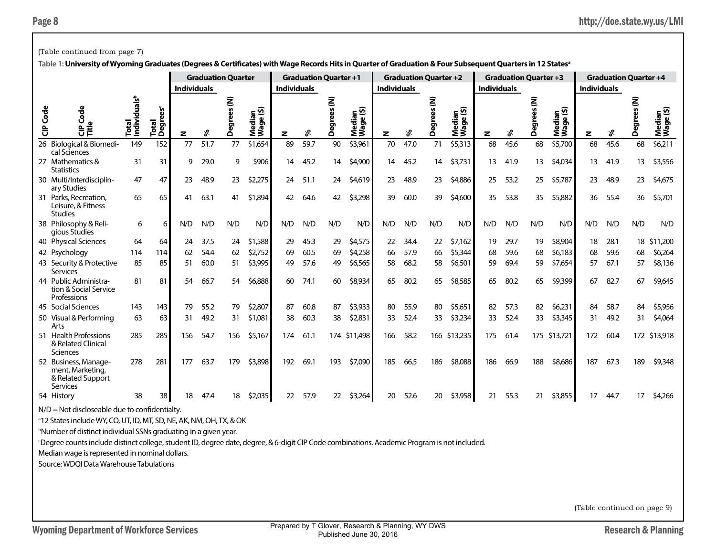|                 | (Table continued from page 7)                                                                                                                                          |                                   |                               |                    |      |                           |                         |                    |                              |                |                         |                    |      |                              |                                          |                    |                              |                     |                     |                    |      |                              |                     |
|-----------------|------------------------------------------------------------------------------------------------------------------------------------------------------------------------|-----------------------------------|-------------------------------|--------------------|------|---------------------------|-------------------------|--------------------|------------------------------|----------------|-------------------------|--------------------|------|------------------------------|------------------------------------------|--------------------|------------------------------|---------------------|---------------------|--------------------|------|------------------------------|---------------------|
|                 | Table 1: University of Wyoming Graduates (Degrees & Certificates) with Wage Records Hits in Quarter of Graduation & Four Subsequent Quarters in 12 States <sup>a</sup> |                                   |                               |                    |      |                           |                         |                    |                              |                |                         |                    |      |                              |                                          |                    |                              |                     |                     |                    |      |                              |                     |
|                 |                                                                                                                                                                        |                                   |                               |                    |      | <b>Graduation Quarter</b> |                         |                    | <b>Graduation Quarter +1</b> |                |                         |                    |      | <b>Graduation Quarter +2</b> |                                          |                    | <b>Graduation Quarter +3</b> |                     |                     |                    |      | <b>Graduation Quarter +4</b> |                     |
|                 |                                                                                                                                                                        |                                   |                               | <b>Individuals</b> |      |                           |                         | <b>Individuals</b> |                              |                |                         | <b>Individuals</b> |      |                              |                                          | <b>Individuals</b> |                              |                     |                     | <b>Individuals</b> |      |                              |                     |
| <b>CIP</b> Code | Ō<br>Ũ<br>ਜ਼                                                                                                                                                           | Individuals <sup>b</sup><br>Total | Total<br>Degrees <sup>c</sup> | z                  | శి   | ξ<br>å,<br>egree<br>Õ     | ⊆ ⊙<br>Mediar<br>Wage ( | z                  | శి                           | ξ<br>ଟ୍ଟି<br>Õ | ∈ ଊ<br>Median<br>Wage ( | z                  | శి   | ξ<br><b>Degrees</b>          | ⊆ ଦି<br>ledia<br><sup>lage (</sup><br>ŹŠ | z                  | శి                           | Ē<br>rees<br>ق<br>م | Median<br>Wage (\$) | z                  | శి   | <b>Degree</b>                | Median<br>Wage (\$) |
|                 | 26 Biological & Biomedi-<br>cal Sciences                                                                                                                               | 149                               | 152                           | 77                 | 51.7 | 77                        | \$1,654                 | 89                 | 59.7                         | 90             | \$3,961                 | 70                 | 47.0 | 71                           | \$5,313                                  | 68                 | 45.6                         | 68                  | \$5,700             | 68                 | 45.6 | 68                           | \$6,211             |
|                 | 27 Mathematics &<br>Statistics                                                                                                                                         | 31                                | 31                            | 9                  | 29.0 | 9                         | \$906                   | 14                 | 45.2                         | 14             | \$4,900                 | 14                 | 45.2 | 14                           | \$3,731                                  | 13                 | 41.9                         | 13                  | \$4,034             | 13                 | 41.9 | 13                           | \$3,556             |
|                 | 30 Multi/Interdisciplin-<br>ary Studies                                                                                                                                | 47                                | 47                            | 23                 | 48.9 | 23                        | \$2,275                 | 24                 | 51.1                         | 24             | \$4,619                 | 23                 | 48.9 | 23                           | \$4,886                                  | 25                 | 53.2                         | 25                  | \$5,787             | 23                 | 48.9 | 23                           | \$4,675             |
|                 | 31 Parks, Recreation,<br>Leisure, & Fitness<br><b>Studies</b>                                                                                                          | 65                                | 65                            | 41                 | 63.1 | 41                        | \$1,894                 | 42                 | 64.6                         | 42             | \$3,298                 | 39                 | 60.0 | 39                           | \$4,600                                  | 35                 | 53.8                         | 35                  | \$5,882             | 36                 | 55.4 | 36                           | \$5,701             |
|                 | 38 Philosophy & Reli-<br>gious Studies                                                                                                                                 | 6                                 | 6                             | N/D                | N/D  | N/D                       | N/D                     | N/D                | N/D                          | N/D            | N/D                     | N/D                | N/D  | N/D                          | N/D                                      | N/D                | N/D                          | N/D                 | N/D                 | N/D                | N/D  | N/D                          | N/D                 |
|                 | 40 Physical Sciences                                                                                                                                                   | 64                                | 64                            | 24                 | 37.5 | 24                        | \$1,588                 | 29                 | 45.3                         | 29             | \$4,575                 | 22                 | 34.4 | 22                           | \$7,162                                  | 19                 | 29.7                         | 19                  | \$8,904             | 18                 | 28.1 |                              | 18 \$11,200         |
|                 | 42 Psychology                                                                                                                                                          | 114                               | 114                           | 62                 | 54.4 | 62                        | \$2,752                 | 69                 | 60.5                         | 69             | \$4,258                 | 66                 | 57.9 | 66                           | \$5,344                                  | 68                 | 59.6                         | 68                  | \$6,183             | 68                 | 59.6 | 68                           | \$6,264             |
|                 | 43 Security & Protective<br>Services                                                                                                                                   | 85                                | 85                            | 51                 | 60.0 | 51                        | \$3,995                 | 49                 | 57.6                         | 49             | \$6,565                 | 58                 | 68.2 | 58                           | \$6,501                                  | 59                 | 69.4                         | 59                  | \$7,654             | 57                 | 67.1 | 57                           | \$8,136             |
|                 | 44 Public Administra-<br>tion & Social Service<br>Professions                                                                                                          | 81                                | 81                            | 54                 | 66.7 | 54                        | \$6,888                 | 60                 | 74.1                         | 60             | \$8,934                 | 65                 | 80.2 | 65                           | \$8,585                                  | 65                 | 80.2                         | 65                  | \$9,399             | 67                 | 82.7 | 67                           | \$9,645             |
|                 | 45 Social Sciences                                                                                                                                                     | 143                               | 143                           | 79                 | 55.2 | 79                        | \$2,807                 | 87                 | 60.8                         | 87             | \$3,933                 | 80                 | 55.9 | 80                           | \$5,651                                  | 82                 | 57.3                         | 82                  | \$6,231             | 84                 | 58.7 | 84                           | \$5,956             |
|                 | 50 Visual & Performing<br>Arts                                                                                                                                         | 63                                | 63                            | 31                 | 49.2 | 31                        | \$1,081                 | 38                 | 60.3                         | 38             | \$2,831                 | 33                 | 52.4 | 33                           | \$3,234                                  | 33                 | 52.4                         | 33                  | \$3,345             | 31                 | 49.2 | 31                           | \$4,064             |
|                 | 51 Health Professions<br>& Related Clinical<br>Sciences                                                                                                                | 285                               | 285                           | 156                | 54.7 | 156                       | \$5,167                 | 174                | 61.1                         |                | 174 \$11,498            | 166                | 58.2 |                              | 166 \$13,235                             | 175                | 61.4                         |                     | 175 \$13,721        | 172                | 60.4 |                              | 172 \$13,918        |
|                 | 52 Business, Manage-<br>ment, Marketing,<br>& Related Support<br>Services                                                                                              | 278                               | 281                           | 177                | 63.7 | 179                       | \$3,898                 | 192                | 69.1                         | 193            | \$7,090                 | 185                | 66.5 | 186                          | \$8,088                                  | 186                | 66.9                         | 188                 | \$8,686             | 187                | 67.3 | 189                          | \$9,348             |
|                 | 54 History                                                                                                                                                             | 38                                | 38                            | 18                 | 47.4 | 18                        | \$2,035                 | 22                 | 57.9                         | 22             | \$3,264                 | 20                 | 52.6 | 20                           | \$3,958                                  | 21                 | 55.3                         | 21                  | \$3,855             | 17                 | 44.7 | 17                           | \$4,266             |
|                 | $N/D = Not$ discloseable due to confidentialty.<br><sup>a</sup> 12 States include WY, CO, UT, ID, MT, SD, NE, AK, NM, OH, TX, & OK                                     |                                   |                               |                    |      |                           |                         |                    |                              |                |                         |                    |      |                              |                                          |                    |                              |                     |                     |                    |      |                              |                     |

b Number of distinct individual SSNs graduating in a given year.

c Degree counts include distinct college, student ID, degree date, degree, & 6-digit CIP Code combinations. Academic Program is not included.

Median wage is represented in nominal dollars.

Source: WDQI Data Warehouse Tabulations

(Table continued on page 9)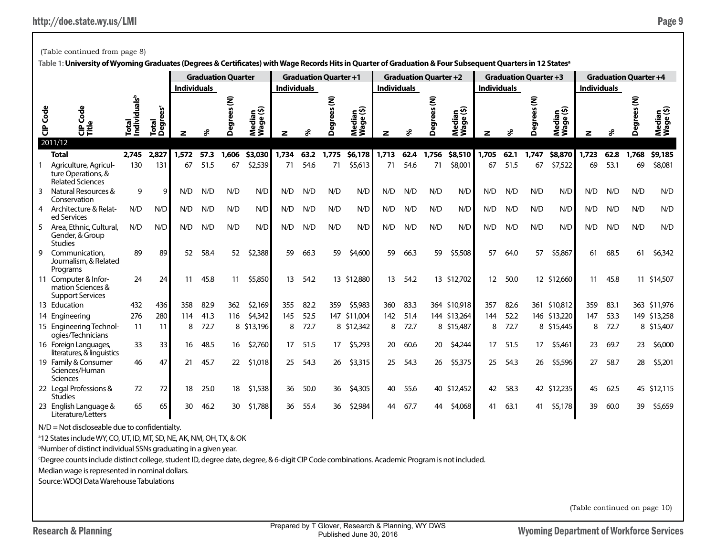(Table continued from page 8)

|                  |                                                                        |                                      |                               | <b>Individuals</b> |      | <b>Graduation Quarter</b> |                           | <b>Individuals</b> |      | <b>Graduation Quarter +1</b> |                     | <b>Individuals</b> |      | <b>Graduation Quarter +2</b> |                     | <b>Individuals</b> |      | <b>Graduation Quarter +3</b> |                               | <b>Individuals</b> |      | <b>Graduation Quarter +4</b> |                     |
|------------------|------------------------------------------------------------------------|--------------------------------------|-------------------------------|--------------------|------|---------------------------|---------------------------|--------------------|------|------------------------------|---------------------|--------------------|------|------------------------------|---------------------|--------------------|------|------------------------------|-------------------------------|--------------------|------|------------------------------|---------------------|
| Ğ<br>$\tilde{e}$ | Code<br>o<br>문득<br>2011/12                                             | als <sup>b</sup><br>Total<br>Individ | Total<br>Degrees <sup>c</sup> |                    | వి   | egrees (N)<br>۵           | ledian<br>lage (\$)<br>ΣŜ | z                  | ፠    | egrees (N)<br>Δ              | Median<br>Wage (\$) |                    | ℅    | Ē<br>ర్టా<br>Δ               | Median<br>Wage (\$) | z                  | వ్ని | Ē<br>စ္စာ<br>Δ               | edian<br>age (\$)<br>ē,<br>ŹŠ |                    | వి   | eg.<br>۵                     | Median<br>Wage (\$) |
|                  | <b>Total</b>                                                           | 2,745                                | 2.827                         | 1,572              | 57.3 | 1,606                     | \$3,030                   | 1,734              | 63.2 | 1,775                        | \$6,178             | 1,713              | 62.4 | 1,756                        | \$8,510             | 1,705              | 62.1 | 1,747                        | \$8,870                       | 1,723              | 62.8 | 1,768                        | \$9,185             |
|                  | Agriculture, Agricul-<br>ture Operations, &<br><b>Related Sciences</b> | 130                                  | 131                           | 67                 | 51.5 | 67                        | \$2,539                   | 71                 | 54.6 | 71                           | \$5,613             | 71                 | 54.6 | 71                           | \$8,001             | 67                 | 51.5 | 67                           | \$7,522                       | 69                 | 53.1 | 69                           | \$8,081             |
| ٩                | Natural Resources &<br>Conservation                                    | 9                                    | 9                             | N/D                | N/D  | N/D                       | N/D                       | N/D                | N/D  | N/D                          | N/D                 | N/D                | N/D  | N/D                          | N/D                 | N/D                | N/D  | N/D                          | N/D                           | N/D                | N/D  | N/D                          | N/D                 |
|                  | 4 Architecture & Relat-<br>ed Services                                 | N/D                                  | N/D                           | N/D                | N/D  | N/D                       | N/D                       | N/D                | N/D  | N/D                          | N/D                 | N/D                | N/D  | N/D                          | N/D                 | N/D                | N/D  | N/D                          | N/D                           | N/D                | N/D  | N/D                          | N/D                 |
| 5                | Area, Ethnic, Cultural,<br>Gender, & Group<br><b>Studies</b>           | N/D                                  | N/D                           | N/D                | N/D  | N/D                       | N/D                       | N/D                | N/D  | N/D                          | N/D                 | N/D                | N/D  | N/D                          | N/D                 | N/D                | N/D  | N/D                          | N/D                           | N/D                | N/D  | N/D                          | N/D                 |
| g                | Communication,<br>Journalism, & Related<br>Programs                    | 89                                   | 89                            | 52                 | 58.4 | 52                        | \$2,388                   | 59                 | 66.3 | 59                           | \$4,600             | 59                 | 66.3 | 59                           | \$5,508             | 57                 | 64.0 | 57                           | \$5,867                       | 61                 | 68.5 | 61                           | \$6,342             |
|                  | 11 Computer & Infor-<br>mation Sciences &<br><b>Support Services</b>   | 24                                   | 24                            | 11                 | 45.8 | 11                        | \$5,850                   | 13                 | 54.2 |                              | 13 \$12,880         | 13                 | 54.2 |                              | 13 \$12,702         | 12                 | 50.0 |                              | 12 \$12,660                   | 11                 | 45.8 |                              | 11 \$14,507         |
|                  | 13 Education                                                           | 432                                  | 436                           | 358                | 82.9 | 362                       | \$2,169                   | 355                | 82.2 | 359                          | \$5,983             | 360                | 83.3 |                              | 364 \$10,918        | 357                | 82.6 |                              | 361 \$10,812                  | 359                | 83.1 |                              | 363 \$11,976        |
|                  | 14 Engineering                                                         | 276                                  | 280                           | 114                | 41.3 | 116                       | \$4,342                   | 145                | 52.5 | 147                          | \$11,004            | 142                | 51.4 |                              | 144 \$13,264        | 144                | 52.2 |                              | 146 \$13,220                  | 147                | 53.3 |                              | 149 \$13,258        |
|                  | 15 Engineering Technol-<br>ogies/Technicians                           | 11                                   | 11                            | 8                  | 72.7 |                           | 8 \$13,196                | 8                  | 72.7 |                              | 8 \$12,342          | 8                  | 72.7 |                              | 8 \$15,487          | 8                  | 72.7 |                              | 8 \$15,445                    | 8                  | 72.7 |                              | 8 \$15,407          |
|                  | 16 Foreign Languages,<br>literatures, & linguistics                    | 33                                   | 33                            | 16                 | 48.5 | 16                        | \$2,760                   | 17                 | 51.5 | 17                           | \$5,293             | 20                 | 60.6 | 20                           | \$4,244             | 17                 | 51.5 | 17                           | \$5,461                       | 23                 | 69.7 | 23                           | \$6,000             |
|                  | 19 Family & Consumer<br>Sciences/Human<br>Sciences                     | 46                                   | 47                            | 21                 | 45.7 | 22                        | \$1,018                   | 25                 | 54.3 | 26                           | \$3,315             | 25                 | 54.3 | 26                           | \$5,375             | 25                 | 54.3 | 26                           | \$5,596                       | 27                 | 58.7 | 28                           | \$5,201             |
|                  | 22 Legal Professions &<br><b>Studies</b>                               | 72                                   | 72                            | 18                 | 25.0 | 18                        | \$1,538                   | 36                 | 50.0 | 36                           | \$4,305             | 40                 | 55.6 | 40                           | \$12,452            | 42                 | 58.3 |                              | 42 \$12,235                   | 45                 | 62.5 |                              | 45 \$12,115         |
|                  | 23 English Language &<br>Literature/Letters                            | 65                                   | 65                            | 30                 | 46.2 | 30                        | \$1,788                   | 36                 | 55.4 | 36                           | \$2,984             | 44                 | 67.7 | 44                           | \$4,068             | 41                 | 63.1 | 41                           | \$5,178                       | 39                 | 60.0 | 39                           | \$5,659             |

**Table 1: University of Wyoming Graduates (Degrees & Certificates) with Wage Records Hits in Quarter of Graduation & Four Subsequent Quarters in 12 Statesa**

 $N/D = Not$  discloseable due to confidentialty.

<sup>a</sup>12 States include WY, CO, UT, ID, MT, SD, NE, AK, NM, OH, TX, & OK

b Number of distinct individual SSNs graduating in a given year.

c Degree counts include distinct college, student ID, degree date, degree, & 6-digit CIP Code combinations. Academic Program is not included.

Median wage is represented in nominal dollars.

Source: WDQI Data Warehouse Tabulations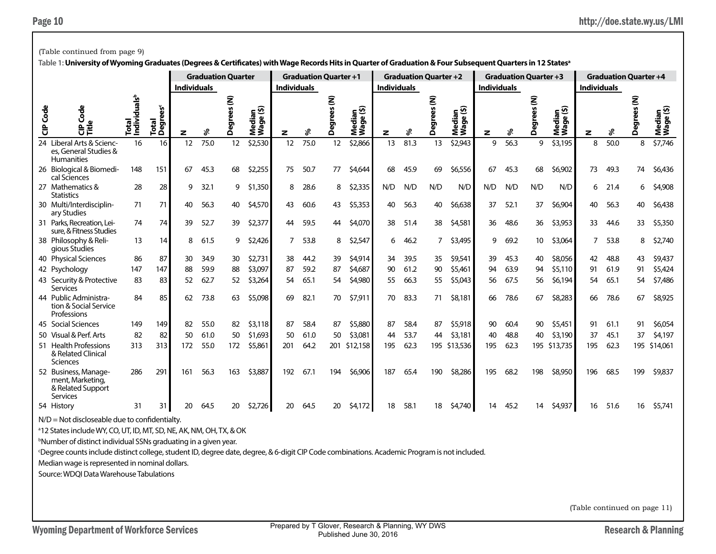|                 | (Table continued from page 9)                                                                                                                                          |                                   |                      |                    |                           |                  |                                              |                    |                              |                   |                     |                    |      |                              |                     |                    |      |                              |                           |                    |      |                              |                                        |
|-----------------|------------------------------------------------------------------------------------------------------------------------------------------------------------------------|-----------------------------------|----------------------|--------------------|---------------------------|------------------|----------------------------------------------|--------------------|------------------------------|-------------------|---------------------|--------------------|------|------------------------------|---------------------|--------------------|------|------------------------------|---------------------------|--------------------|------|------------------------------|----------------------------------------|
|                 | Table 1: University of Wyoming Graduates (Degrees & Certificates) with Wage Records Hits in Quarter of Graduation & Four Subsequent Quarters in 12 States <sup>a</sup> |                                   |                      |                    |                           |                  |                                              |                    |                              |                   |                     |                    |      |                              |                     |                    |      |                              |                           |                    |      |                              |                                        |
|                 |                                                                                                                                                                        |                                   |                      |                    | <b>Graduation Quarter</b> |                  |                                              |                    | <b>Graduation Quarter +1</b> |                   |                     |                    |      | <b>Graduation Quarter +2</b> |                     |                    |      | <b>Graduation Quarter +3</b> |                           |                    |      | <b>Graduation Quarter +4</b> |                                        |
|                 |                                                                                                                                                                        |                                   |                      | <b>Individuals</b> |                           |                  |                                              | <b>Individuals</b> |                              |                   |                     | <b>Individuals</b> |      |                              |                     | <b>Individuals</b> |      |                              |                           | <b>Individuals</b> |      |                              |                                        |
| <b>CIP</b> Code | ge<br>₿Ě                                                                                                                                                               | Total<br>Individuals <sup>b</sup> | ees<br>Total<br>Degr | z                  | శి                        | ξ<br>ees<br>Degr | ledian<br><sup>(age (\$)</sup><br><b>PES</b> | z                  | శి                           | ξ<br>ees<br>Degre | Median<br>Wage (\$) | z                  | ళి   | ξ<br>es<br>Degr              | Median<br>Wage (\$) | z                  | ళి   | ξ<br>ees<br>ë۵,<br>Õ         | Median<br>Wage (\$)<br>შ, | z                  | ℅    | ξ<br>es<br>Degr              | ledian<br><sup>(age (\$)</sup><br>ร็≶ี |
|                 | 24 Liberal Arts & Scienc-<br>es, General Studies &<br><b>Humanities</b>                                                                                                | 16                                | 16                   | 12                 | 75.0                      | 12               | \$2,530                                      | 12                 | 75.0                         | 12                | \$2,866             | 13                 | 81.3 | 13                           | \$2,943             | 9                  | 56.3 | 9                            | \$3,195                   | 8                  | 50.0 | 8                            | \$7,746                                |
|                 | 26 Biological & Biomedi-<br>cal Sciences                                                                                                                               | 148                               | 151                  | 67                 | 45.3                      | 68               | \$2,255                                      | 75                 | 50.7                         | 77                | \$4,644             | 68                 | 45.9 | 69                           | \$6,556             | 67                 | 45.3 | 68                           | \$6,902                   | 73                 | 49.3 | 74                           | \$6,436                                |
|                 | 27 Mathematics &<br><b>Statistics</b>                                                                                                                                  | 28                                | 28                   | 9                  | 32.1                      | 9                | \$1,350                                      | 8                  | 28.6                         | 8                 | \$2,335             | N/D                | N/D  | N/D                          | N/D                 | N/D                | N/D  | N/D                          | N/D                       | 6                  | 21.4 | 6                            | \$4,908                                |
|                 | 30 Multi/Interdisciplin-<br>ary Studies                                                                                                                                | 71                                | 71                   | 40                 | 56.3                      | 40               | \$4,570                                      | 43                 | 60.6                         | 43                | \$5,353             | 40                 | 56.3 | 40                           | \$6,638             | 37                 | 52.1 | 37                           | \$6,904                   | 40                 | 56.3 | 40                           | \$6,438                                |
|                 | 31 Parks, Recreation, Lei-<br>sure, & Fitness Studies                                                                                                                  | 74                                | 74                   | 39                 | 52.7                      | 39               | \$2,377                                      | 44                 | 59.5                         | 44                | \$4,070             | 38                 | 51.4 | 38                           | \$4,581             | 36                 | 48.6 | 36                           | \$3,953                   | 33                 | 44.6 | 33                           | \$5,350                                |
|                 | 38 Philosophy & Reli-<br>gious Studies                                                                                                                                 | 13                                | 14                   | 8                  | 61.5                      | 9                | \$2,426                                      |                    | 53.8                         | 8                 | \$2,547             | 6                  | 46.2 | 7                            | \$3,495             | 9                  | 69.2 | 10 <sup>°</sup>              | \$3,064                   | 7                  | 53.8 | 8                            | \$2,740                                |
|                 | 40 Physical Sciences                                                                                                                                                   | 86                                | 87                   | 30                 | 34.9                      | 30               | \$2,731                                      | 38                 | 44.2                         | 39                | \$4,914             | 34                 | 39.5 | 35                           | \$9,541             | 39                 | 45.3 | 40                           | \$8,056                   | 42                 | 48.8 | 43                           | \$9,437                                |
|                 | 42 Psychology                                                                                                                                                          | 147                               | 147                  | 88                 | 59.9                      | 88               | \$3,097                                      | 87                 | 59.2                         | 87                | \$4,687             | 90                 | 61.2 | 90                           | \$5,461             | 94                 | 63.9 | 94                           | \$5,110                   | 91                 | 61.9 | 91                           | \$5,424                                |
|                 | 43 Security & Protective<br>Services                                                                                                                                   | 83                                | 83                   | 52                 | 62.7                      | 52               | \$3,264                                      | 54                 | 65.1                         | 54                | \$4,980             | 55                 | 66.3 | 55                           | \$5,043             | 56                 | 67.5 | 56                           | \$6,194                   | 54                 | 65.1 | 54                           | \$7,486                                |
|                 | 44 Public Administra-<br>tion & Social Service<br>Professions                                                                                                          | 84                                | 85                   | 62                 | 73.8                      | 63               | \$5,098                                      | 69                 | 82.1                         | 70                | \$7,911             | 70                 | 83.3 | 71                           | \$8,181             | 66                 | 78.6 | 67                           | \$8,283                   | 66                 | 78.6 | 67                           | \$8,925                                |
|                 | 45 Social Sciences                                                                                                                                                     | 149                               | 149                  | 82                 | 55.0                      | 82               | \$3,118                                      | 87                 | 58.4                         | 87                | \$5,880             | 87                 | 58.4 | 87                           | \$5,918             | 90                 | 60.4 | 90                           | \$5,451                   | 91                 | 61.1 | 91                           | \$6,054                                |
|                 | 50 Visual & Perf. Arts                                                                                                                                                 | 82                                | 82                   | 50                 | 61.0                      | 50               | \$1,693                                      | 50                 | 61.0                         | 50                | \$3,081             | 44                 | 53.7 | 44                           | \$3,181             | 40                 | 48.8 | 40                           | \$3,190                   | 37                 | 45.1 | 37                           | \$4,197                                |
|                 | 51 Health Professions<br>& Related Clinical<br>Sciences                                                                                                                | 313                               | 313                  | 172                | 55.0                      | 172              | \$5,861                                      | 201                | 64.2                         | 201               | \$12,158            | 195                | 62.3 |                              | 195 \$13,536        | 195                | 62.3 |                              | 195 \$13,735              | 195                | 62.3 |                              | 195 \$14,061                           |
|                 | 52 Business, Manage-<br>ment, Marketing,<br>& Related Support<br>Services                                                                                              | 286                               | 291                  | 161                | 56.3                      | 163              | \$3,887                                      | 192                | 67.1                         | 194               | \$6,906             | 187                | 65.4 | 190                          | \$8,286             | 195                | 68.2 | 198                          | \$8,950                   | 196                | 68.5 | 199                          | \$9,837                                |
|                 | 54 History                                                                                                                                                             | 31                                | 31                   | 20                 | 64.5                      | 20               | \$2,726                                      | 20                 | 64.5                         | 20                | \$4,172             | 18                 | 58.1 | 18                           | \$4,740             | 14                 | 45.2 | 14                           | \$4,937                   | 16                 | 51.6 | 16                           | \$5,741                                |

a 12 States include WY, CO, UT, ID, MT, SD, NE, AK, NM, OH, TX, & OK

b Number of distinct individual SSNs graduating in a given year.

c Degree counts include distinct college, student ID, degree date, degree, & 6-digit CIP Code combinations. Academic Program is not included.

Median wage is represented in nominal dollars.

Source: WDQI Data Warehouse Tabulations

(Table continued on page 11)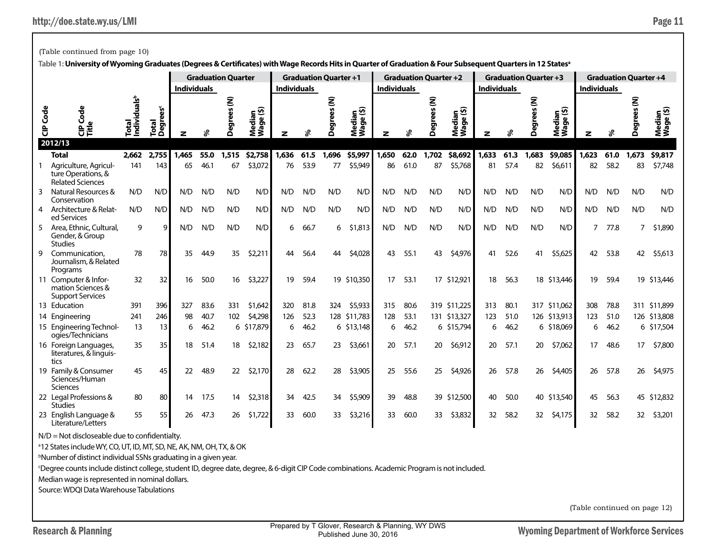(Table continued from page 10)

|                 |                                                                        | <b>Graduation Quarter</b>         |                       |                    | <b>Graduation Quarter +1</b> |       |                     |                    | <b>Graduation Quarter +2</b> |                  |                     |                    | <b>Graduation Quarter +3</b> |                   |                     |                    | <b>Graduation Quarter +4</b> |                  |                         |                    |      |       |                     |
|-----------------|------------------------------------------------------------------------|-----------------------------------|-----------------------|--------------------|------------------------------|-------|---------------------|--------------------|------------------------------|------------------|---------------------|--------------------|------------------------------|-------------------|---------------------|--------------------|------------------------------|------------------|-------------------------|--------------------|------|-------|---------------------|
|                 |                                                                        |                                   |                       | <b>Individuals</b> |                              |       |                     | <b>Individuals</b> |                              |                  |                     | <b>Individuals</b> |                              |                   |                     | <b>Individuals</b> |                              |                  |                         | <b>Individuals</b> |      |       |                     |
| <b>CIP Code</b> | Code<br>으로<br>다른<br>2012/13                                            | Total<br>Individuals <sup>b</sup> | ees<br>Total<br>Degre |                    | ℅                            | ξ     | Median<br>Wage (\$) |                    | ڇ                            | ees (N)<br>Degre | Median<br>Wage (\$) |                    | ℅                            | ξ<br>59<br>ā<br>Ă | Median<br>Wage (\$) |                    | ∗                            | ξ<br>ပ္က<br>Degi | edian<br>age (\$)<br>ĕ₹ | z                  |      | Degi  | Median<br>Wage (\$) |
|                 | <b>Total</b>                                                           | 2,662                             | 2,755                 | 1,465              | 55.0                         | 1,515 | \$2,758             | 1,636              | 61.5                         | 1,696            | \$5,997             | 1,650              | 62.0                         | 1,702             | \$8,692             | 1,633              | 61.3                         | 1,683            | \$9,085                 | 1,623              | 61.0 | 1,673 | \$9,817             |
|                 | Agriculture, Agricul-<br>ture Operations, &<br><b>Related Sciences</b> | 141                               | 143                   | 65                 | 46.1                         | 67    | \$3,072             | 76                 | 53.9                         | 77               | \$5,949             | 86                 | 61.0                         | 87                | \$5,768             | 81                 | 57.4                         | 82               | \$6,611                 | 82                 | 58.2 | 83    | \$7,748             |
| 3               | Natural Resources &<br>Conservation                                    | N/D                               | N/D                   | N/D                | N/D                          | N/D   | N/D                 | N/D                | N/D                          | N/D              | N/D                 | N/D                | N/D                          | N/D               | N/D                 | N/D                | N/D                          | N/D              | N/D                     | N/D                | N/D  | N/D   | N/D                 |
| 4               | Architecture & Relat-<br>ed Services                                   | N/D                               | N/D                   | N/D                | N/D                          | N/D   | N/D                 | N/D                | N/D                          | N/D              | N/D                 | N/D                | N/D                          | N/D               | N/D                 | N/D                | N/D                          | N/D              | N/D                     | N/D                | N/D  | N/D   | N/D                 |
| 5               | Area, Ethnic, Cultural,<br>Gender, & Group<br><b>Studies</b>           | 9                                 | q                     | N/D                | N/D                          | N/D   | N/D                 | 6                  | 66.7                         | 6                | \$1,813             | N/D                | N/D                          | N/D               | N/D                 | N/D                | N/D                          | N/D              | N/D                     | $7^{\circ}$        | 77.8 | 7     | \$1,890             |
| 9               | Communication,<br>Journalism, & Related<br>Programs                    | 78                                | 78                    | 35                 | 44.9                         | 35    | \$2,211             | 44                 | 56.4                         | 44               | \$4,028             | 43                 | 55.1                         | 43                | \$4,976             | 41                 | 52.6                         | 41               | \$5,625                 | 42                 | 53.8 | 42    | \$5,613             |
|                 | 11 Computer & Infor-<br>mation Sciences &<br><b>Support Services</b>   | 32                                | 32                    | 16                 | 50.0                         | 16    | \$3,227             | 19                 | 59.4                         |                  | 19 \$10,350         | 17                 | 53.1                         |                   | 17 \$12,921         | 18                 | 56.3                         |                  | 18 \$13,446             | 19                 | 59.4 |       | 19 \$13,446         |
|                 | 13 Education                                                           | 391                               | 396                   | 327                | 83.6                         | 331   | \$1,642             | 320                | 81.8                         | 324              | \$5,933             | 315                | 80.6                         |                   | 319 \$11,225        | 313                | 80.1                         |                  | 317 \$11,062            | 308                | 78.8 |       | 311 \$11,899        |
|                 | 14 Engineering                                                         | 241                               | 246                   | 98                 | 40.7                         | 102   | \$4,298             | 126                | 52.3                         | 128              | \$11,783            | 128                | 53.1                         |                   | 131 \$13,327        | 123                | 51.0                         |                  | 126 \$13,913            | 123                | 51.0 |       | 126 \$13,808        |
|                 | 15 Engineering Technol-<br>ogies/Technicians                           | 13                                | 13                    | 6                  | 46.2                         | 6     | \$17,879            | 6                  | 46.2                         |                  | 6 \$13,148          | 6                  | 46.2                         |                   | 6 \$15,794          | 6                  | 46.2                         |                  | 6 \$18,069              | 6                  | 46.2 |       | 6 \$17,504          |
|                 | 16 Foreign Languages,<br>literatures, & linguis-<br>tics               | 35                                | 35                    | 18                 | 51.4                         | 18    | \$2,182             | 23                 | 65.7                         | 23               | \$3,661             | 20                 | 57.1                         | 20                | \$6,912             | 20                 | 57.1                         | 20               | \$7,062                 | 17                 | 48.6 | 17    | \$7,800             |
|                 | 19 Family & Consumer<br>Sciences/Human<br><b>Sciences</b>              | 45                                | 45                    | 22                 | 48.9                         | 22    | \$2,170             | 28                 | 62.2                         | 28               | \$3,905             | 25                 | 55.6                         | 25                | \$4,926             | 26                 | 57.8                         | 26               | \$4,405                 | 26                 | 57.8 | 26    | \$4,975             |
|                 | 22 Legal Professions &<br><b>Studies</b>                               | 80                                | 80                    | 14                 | 17.5                         | 14    | \$2,318             | 34                 | 42.5                         | 34               | \$5,909             | 39                 | 48.8                         |                   | 39 \$12,500         | 40                 | 50.0                         |                  | 40 \$13,540             | 45                 | 56.3 |       | 45 \$12,832         |
|                 | 23 English Language &<br>Literature/Letters                            | 55                                | 55                    | 26                 | 47.3                         | 26    | \$1,722             | 33                 | 60.0                         | 33               | \$3,216             | 33                 | 60.0                         | 33                | \$3,832             | 32                 | 58.2                         | 32 <sup>2</sup>  | \$4,175                 | 32                 | 58.2 | 32    | \$3,201             |

**Table 1: University of Wyoming Graduates (Degrees & Certificates) with Wage Records Hits in Quarter of Graduation & Four Subsequent Quarters in 12 Statesa**

 $N/D = Not$  discloseable due to confidentialty.

<sup>a</sup>12 States include WY, CO, UT, ID, MT, SD, NE, AK, NM, OH, TX, & OK

b Number of distinct individual SSNs graduating in a given year.

c Degree counts include distinct college, student ID, degree date, degree, & 6-digit CIP Code combinations. Academic Program is not included.

Median wage is represented in nominal dollars.

Source: WDQI Data Warehouse Tabulations

(Table continued on page 12)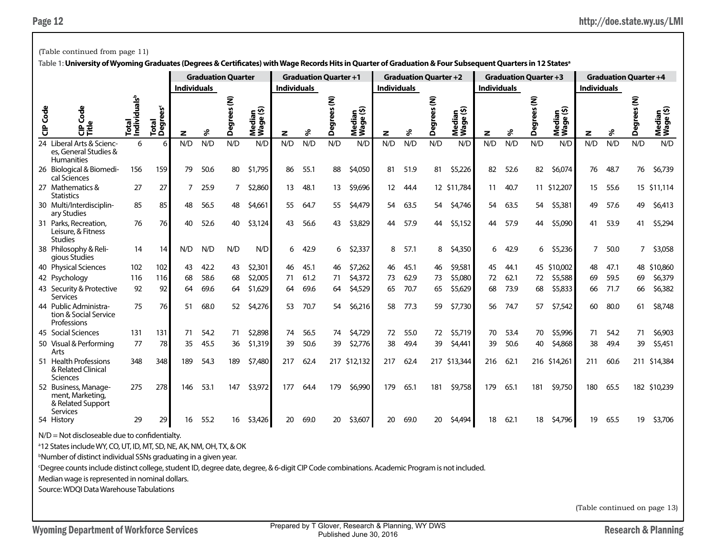|                                                                                                                                                                        | (Table continued from page 11)                                            |                              |                               |                    |      |                           |                                               |                              |      |                          |                         |                              |      |              |                                      |                    |                              |                                 |                                      |                              |      |                |                     |
|------------------------------------------------------------------------------------------------------------------------------------------------------------------------|---------------------------------------------------------------------------|------------------------------|-------------------------------|--------------------|------|---------------------------|-----------------------------------------------|------------------------------|------|--------------------------|-------------------------|------------------------------|------|--------------|--------------------------------------|--------------------|------------------------------|---------------------------------|--------------------------------------|------------------------------|------|----------------|---------------------|
| Table 1: University of Wyoming Graduates (Degrees & Certificates) with Wage Records Hits in Quarter of Graduation & Four Subsequent Quarters in 12 States <sup>a</sup> |                                                                           |                              |                               |                    |      |                           |                                               |                              |      |                          |                         |                              |      |              |                                      |                    |                              |                                 |                                      |                              |      |                |                     |
|                                                                                                                                                                        |                                                                           |                              |                               |                    |      | <b>Graduation Quarter</b> |                                               | <b>Graduation Quarter +1</b> |      |                          |                         | <b>Graduation Quarter +2</b> |      |              |                                      |                    | <b>Graduation Quarter +3</b> |                                 |                                      | <b>Graduation Quarter +4</b> |      |                |                     |
|                                                                                                                                                                        |                                                                           |                              |                               | <b>Individuals</b> |      |                           |                                               | <b>Individuals</b>           |      |                          |                         | <b>Individuals</b>           |      |              |                                      | <b>Individuals</b> |                              |                                 |                                      | <b>Individuals</b>           |      |                |                     |
| <b>CIP</b> Code                                                                                                                                                        | <b>G</b><br>$\mathbf{a}$<br>양토                                            | Individualsb<br><b>Total</b> | Total<br>Degrees <sup>c</sup> | z                  | ℅    | ŝ<br>Degrees              | ledian<br><sup>/aqe (\$)</sup><br>Nedi<br>Wag | z                            | ళ    | Ê<br>egrees<br>$\bullet$ | ⊆ ਔ<br>Median<br>Wage ( | z                            | s    | Ê<br>Degrees | ledian<br><sup>(age (\$)</sup><br>Σš | z                  | శి                           | ŝ<br>59<br>ă<br>န္မ<br>$\Delta$ | ledian<br><sup>(age (\$)</sup><br>Σპ | z                            | శి   | Ē<br>Degr      | Median<br>Wage (\$) |
|                                                                                                                                                                        | 24 Liberal Arts & Scienc-<br>es, General Studies &<br><b>Humanities</b>   | 6                            | 6                             | N/D                | N/D  | N/D                       | N/D                                           | N/D                          | N/D  | N/D                      | N/D                     | N/D                          | N/D  | N/D          | N/D                                  | N/D                | N/D                          | N/D                             | N/D                                  | N/D                          | N/D  | N/D            | N/D                 |
|                                                                                                                                                                        | 26 Biological & Biomedi-<br>cal Sciences                                  | 156                          | 159                           | 79                 | 50.6 | 80                        | \$1,795                                       | 86                           | 55.1 | 88                       | \$4,050                 | 81                           | 51.9 | 81           | \$5,226                              | 82                 | 52.6                         | 82                              | \$6,074                              | 76                           | 48.7 | 76             | \$6,739             |
|                                                                                                                                                                        | 27 Mathematics &<br><b>Statistics</b>                                     | 27                           | 27                            | 7                  | 25.9 | $\overline{7}$            | \$2,860                                       | 13                           | 48.1 | 13                       | \$9,696                 | $12 \overline{ }$            | 44.4 |              | 12 \$11,784                          | 11                 | 40.7                         |                                 | 11 \$12,207                          | 15                           | 55.6 |                | 15 \$11,114         |
|                                                                                                                                                                        | 30 Multi/Interdisciplin-<br>ary Studies                                   | 85                           | 85                            | 48                 | 56.5 | 48                        | \$4,661                                       | 55                           | 64.7 | 55                       | \$4,479                 | 54                           | 63.5 | 54           | \$4,746                              | 54                 | 63.5                         | 54                              | \$5,381                              | 49                           | 57.6 | 49             | \$6,413             |
|                                                                                                                                                                        | 31 Parks, Recreation,<br>Leisure, & Fitness<br><b>Studies</b>             | 76                           | 76                            | 40                 | 52.6 | 40                        | \$3,124                                       | 43                           | 56.6 | 43                       | \$3,829                 | 44                           | 57.9 | 44           | \$5,152                              | 44                 | 57.9                         | 44                              | \$5,090                              | 41                           | 53.9 | 41             | \$5,294             |
|                                                                                                                                                                        | 38 Philosophy & Reli-<br>gious Studies                                    | 14                           | 14                            | N/D                | N/D  | N/D                       | N/D                                           | 6                            | 42.9 | 6                        | \$2,337                 | 8                            | 57.1 | 8            | \$4,350                              | 6                  | 42.9                         | 6                               | \$5,236                              | 7                            | 50.0 | $\overline{7}$ | \$3,058             |
|                                                                                                                                                                        | 40 Physical Sciences                                                      | 102                          | 102                           | 43                 | 42.2 | 43                        | \$2,301                                       | 46                           | 45.1 | 46                       | \$7,262                 | 46                           | 45.1 | 46           | \$9,581                              | 45                 | 44.1                         |                                 | 45 \$10,002                          | 48                           | 47.1 |                | 48 \$10,860         |
|                                                                                                                                                                        | 42 Psychology                                                             | 116                          | 116                           | 68                 | 58.6 | 68                        | \$2,005                                       | 71                           | 61.2 | 71                       | \$4,372                 | 73                           | 62.9 | 73           | \$5,080                              | 72                 | 62.1                         | 72                              | \$5,588                              | 69                           | 59.5 | 69             | \$6,379             |
|                                                                                                                                                                        | 43 Security & Protective<br><b>Services</b>                               | 92                           | 92                            | 64                 | 69.6 | 64                        | \$1,629                                       | 64                           | 69.6 | 64                       | \$4,529                 | 65                           | 70.7 | 65           | \$5,629                              | 68                 | 73.9                         | 68                              | \$5,833                              | 66                           | 71.7 | 66             | \$6,382             |
|                                                                                                                                                                        | 44 Public Administra-<br>tion & Social Service<br>Professions             | 75                           | 76                            | 51                 | 68.0 | 52                        | \$4,276                                       | 53                           | 70.7 | 54                       | \$6,216                 | 58                           | 77.3 | 59           | \$7,730                              | 56                 | 74.7                         | 57                              | \$7,542                              | 60                           | 80.0 | 61             | \$8,748             |
|                                                                                                                                                                        | 45 Social Sciences                                                        | 131                          | 131                           | 71                 | 54.2 | 71                        | \$2,898                                       | 74                           | 56.5 | 74                       | \$4,729                 | 72                           | 55.0 | 72           | \$5,719                              | 70                 | 53.4                         | 70                              | \$5,996                              | 71                           | 54.2 | 71             | \$6,903             |
|                                                                                                                                                                        | 50 Visual & Performing<br>Arts                                            | 77                           | 78                            | 35                 | 45.5 | 36                        | \$1,319                                       | 39                           | 50.6 | 39                       | \$2,776                 | 38                           | 49.4 | 39           | \$4,441                              | 39                 | 50.6                         | 40                              | \$4,868                              | 38                           | 49.4 | 39             | \$5,451             |
|                                                                                                                                                                        | 51 Health Professions<br>& Related Clinical<br>Sciences                   | 348                          | 348                           | 189                | 54.3 | 189                       | \$7,480                                       | 217                          | 62.4 |                          | 217 \$12,132            | 217                          | 62.4 |              | 217 \$13,344                         | 216                | 62.1                         |                                 | 216 \$14,261                         | 211                          | 60.6 |                | 211 \$14,384        |
|                                                                                                                                                                        | 52 Business, Manage-<br>ment, Marketing,<br>& Related Support<br>Services | 275                          | 278                           | 146                | 53.1 | 147                       | \$3,972                                       | 177                          | 64.4 | 179                      | \$6,990                 | 179                          | 65.1 | 181          | \$9,758                              | 179                | 65.1                         | 181                             | \$9,750                              | 180                          | 65.5 |                | 182 \$10,239        |
|                                                                                                                                                                        | 54 History                                                                | 29                           | 29                            | 16                 | 55.2 | 16                        | \$3,426                                       | 20                           | 69.0 | 20                       | \$3,607                 | 20                           | 69.0 | 20           | \$4,494                              | 18                 | 62.1                         | 18                              | \$4,796                              | 19                           | 65.5 | 19             | \$3,706             |

a 12 States include WY, CO, UT, ID, MT, SD, NE, AK, NM, OH, TX, & OK

b Number of distinct individual SSNs graduating in a given year.

c Degree counts include distinct college, student ID, degree date, degree, & 6-digit CIP Code combinations. Academic Program is not included.

Median wage is represented in nominal dollars.

Source: WDQI Data Warehouse Tabulations

(Table continued on page 13)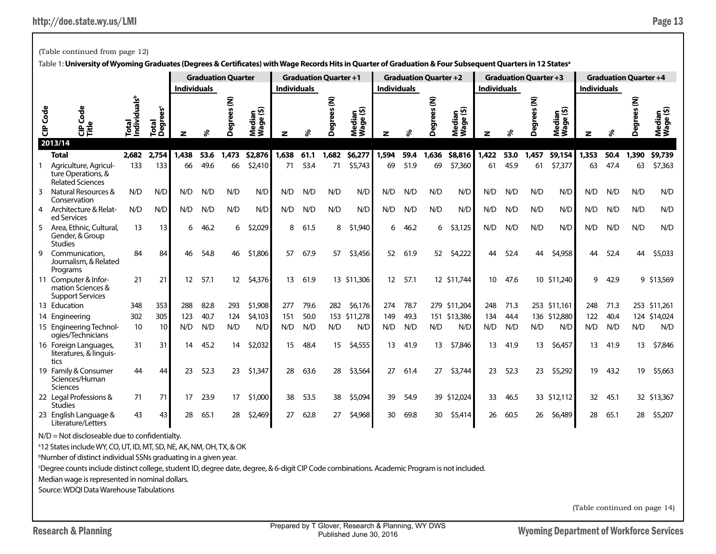|           |                                                                        | <b>Individuals</b>                    |                               | <b>Graduation Quarter</b> |      | <b>Graduation Quarter +1</b><br><b>Individuals</b> |                     |       |      | <b>Graduation Quarter +2</b><br><b>Individuals</b> |                     |       |      | <b>Individuals</b> |                     | <b>Graduation Quarter +3</b> |      | <b>Graduation Quarter +4</b><br><b>Individuals</b> |                     |       |      |        |                     |
|-----------|------------------------------------------------------------------------|---------------------------------------|-------------------------------|---------------------------|------|----------------------------------------------------|---------------------|-------|------|----------------------------------------------------|---------------------|-------|------|--------------------|---------------------|------------------------------|------|----------------------------------------------------|---------------------|-------|------|--------|---------------------|
| Code<br>ិ | Code<br>o<br>문득                                                        | als <sup>b</sup><br>Total<br>Individu | Total<br>Degrees <sup>c</sup> |                           | వి   | <b>Degrees</b> (N)                                 | Median<br>Wage (\$) |       | వి   | <b>Degrees</b> (N)                                 | Median<br>Wage (\$) |       | ళి   | ŝ<br>Deg           | Median<br>Wage (\$) | z                            | వి   | ŝ<br>Deg                                           | Median<br>Wage (\$) |       | వి   | ξ<br>Ă | Median<br>Wage (\$) |
|           | 2013/14                                                                |                                       |                               |                           |      |                                                    |                     |       |      |                                                    |                     |       |      |                    |                     |                              |      |                                                    |                     |       |      |        |                     |
|           | <b>Total</b>                                                           | 2,682                                 | 2.754                         | 1,438                     | 53.6 | 1,473                                              | \$2,876             | 1,638 | 61.1 | 1,682                                              | \$6,277             | 1,594 | 59.4 | 1,636              | \$8,816             | 1.422                        | 53.0 | 1,457                                              | \$9,154             | 1,353 | 50.4 | 1,390  | \$9,739             |
|           | Agriculture, Agricul-<br>ture Operations, &<br><b>Related Sciences</b> | 133                                   | 133                           | 66                        | 49.6 | 66                                                 | \$2,410             | 71    | 53.4 | 71                                                 | \$5,743             | 69    | 51.9 | 69                 | \$7,360             | 61                           | 45.9 | 61                                                 | \$7,377             | 63    | 47.4 | 63     | \$7,363             |
| 3         | Natural Resources &<br>Conservation                                    | N/D                                   | N/D                           | N/D                       | N/D  | N/D                                                | N/D                 | N/D   | N/D  | N/D                                                | N/D                 | N/D   | N/D  | N/D                | N/D                 | N/D                          | N/D  | N/D                                                | N/D                 | N/D   | N/D  | N/D    | N/D                 |
| 4         | Architecture & Relat-<br>ed Services                                   | N/D                                   | N/D                           | N/D                       | N/D  | N/D                                                | N/D                 | N/D   | N/D  | N/D                                                | N/D                 | N/D   | N/D  | N/D                | N/D                 | N/D                          | N/D  | N/D                                                | N/D                 | N/D   | N/D  | N/D    | N/D                 |
| 5         | Area, Ethnic, Cultural,<br>Gender, & Group<br><b>Studies</b>           | 13                                    | 13                            | 6                         | 46.2 | 6                                                  | \$2,029             | 8     | 61.5 | 8                                                  | \$1,940             | 6     | 46.2 | 6                  | \$3,125             | N/D                          | N/D  | N/D                                                | N/D                 | N/D   | N/D  | N/D    | N/D                 |
| g         | Communication,<br>Journalism, & Related<br>Programs                    | 84                                    | 84                            | 46                        | 54.8 | 46                                                 | \$1,806             | 57    | 67.9 | 57                                                 | \$3,456             | 52    | 61.9 | 52                 | \$4,222             | 44                           | 52.4 | 44                                                 | \$4,958             | 44    | 52.4 | 44     | \$5,033             |
|           | 11 Computer & Infor-<br>mation Sciences &<br><b>Support Services</b>   | 21                                    | 21                            | 12                        | 57.1 | 12 <sup>2</sup>                                    | \$4,376             | 13    | 61.9 |                                                    | 13 \$11,306         | 12    | 57.1 |                    | 12 \$11,744         | 10 <sup>°</sup>              | 47.6 |                                                    | 10 \$11,240         | 9     | 42.9 |        | 9 \$13,569          |
|           | 13 Education                                                           | 348                                   | 353                           | 288                       | 82.8 | 293                                                | \$1,908             | 277   | 79.6 | 282                                                | \$6,176             | 274   | 78.7 |                    | 279 \$11,204        | 248                          | 71.3 |                                                    | 253 \$11,161        | 248   | 71.3 |        | 253 \$11,261        |
|           | 14 Engineering                                                         | 302                                   | 305                           | 123                       | 40.7 | 124                                                | \$4,103             | 151   | 50.0 | 153                                                | \$11,278            | 149   | 49.3 | 151                | \$13,386            | 134                          | 44.4 |                                                    | 136 \$12,880        | 122   | 40.4 |        | 124 \$14,024        |
|           | 15 Engineering Technol-<br>ogies/Technicians                           | 10                                    | 10                            | N/D                       | N/D  | N/D                                                | N/D                 | N/D   | N/D  | N/D                                                | N/D                 | N/D   | N/D  | N/D                | N/D                 | N/D                          | N/D  | N/D                                                | N/D                 | N/D   | N/D  | N/D    | N/D                 |
|           | 16 Foreign Languages,<br>literatures, & linguis-<br>tics               | 31                                    | 31                            | 14                        | 45.2 | 14                                                 | \$2,032             | 15    | 48.4 | 15                                                 | \$4,555             | 13    | 41.9 | 13                 | \$7,846             | 13                           | 41.9 | 13                                                 | \$6,457             | 13    | 41.9 | 13     | \$7,846             |
|           | 19 Family & Consumer<br>Sciences/Human<br><b>Sciences</b>              | 44                                    | 44                            | 23                        | 52.3 | 23                                                 | \$1,347             | 28    | 63.6 | 28                                                 | \$3,564             | 27    | 61.4 | 27                 | \$3,744             | 23                           | 52.3 | 23                                                 | \$5,292             | 19    | 43.2 | 19     | \$5,663             |
|           | 22 Legal Professions &<br><b>Studies</b>                               | 71                                    | 71                            | 17                        | 23.9 | 17                                                 | \$1,000             | 38    | 53.5 | 38                                                 | \$5,094             | 39    | 54.9 |                    | 39 \$12,024         | 33                           | 46.5 |                                                    | 33 \$12,112         | 32    | 45.1 |        | 32 \$13,367         |
|           | 23 English Language &<br>Literature/Letters                            | 43                                    | 43                            | 28                        | 65.1 | 28                                                 | \$2,469             | 27    | 62.8 | 27                                                 | \$4,968             | 30    | 69.8 | 30 <sup>°</sup>    | \$5,414             | 26                           | 60.5 | 26                                                 | \$6,489             | 28    | 65.1 | 28     | \$5,207             |

## (Table continued from page 12)

**Table 1: University of Wyoming Graduates (Degrees & Certificates) with Wage Records Hits in Quarter of Graduation & Four Subsequent Quarters in 12 Statesa**

 $N/D = Not$  discloseable due to confidentialty.

<sup>a</sup>12 States include WY, CO, UT, ID, MT, SD, NE, AK, NM, OH, TX, & OK

b Number of distinct individual SSNs graduating in a given year.

c Degree counts include distinct college, student ID, degree date, degree, & 6-digit CIP Code combinations. Academic Program is not included.

Median wage is represented in nominal dollars.

Source: WDQI Data Warehouse Tabulations

(Table continued on page 14)